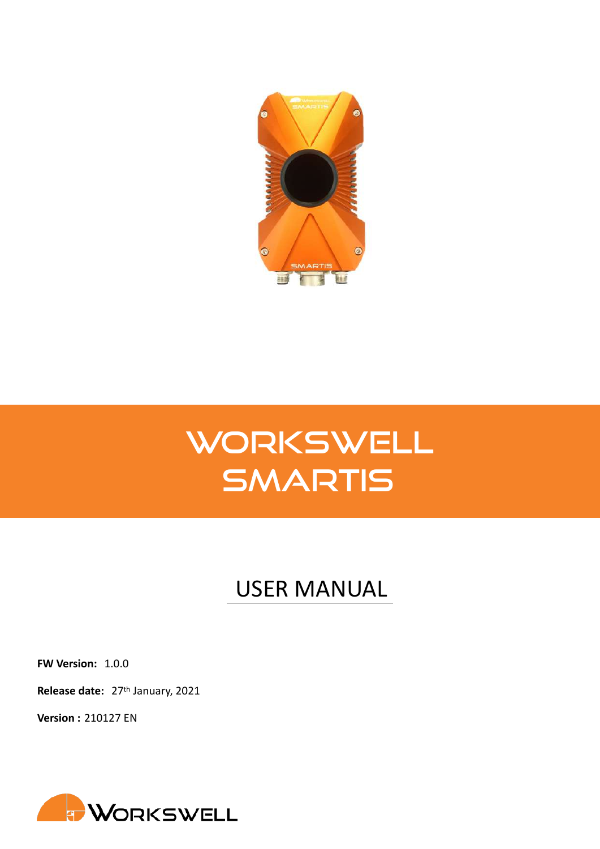

# **WORKSWELL** SMARTIS

## USER MANUAL

**FW Version:** 1.0.0

**Release date:** 27th January, 2021

**Version :** 210127 EN

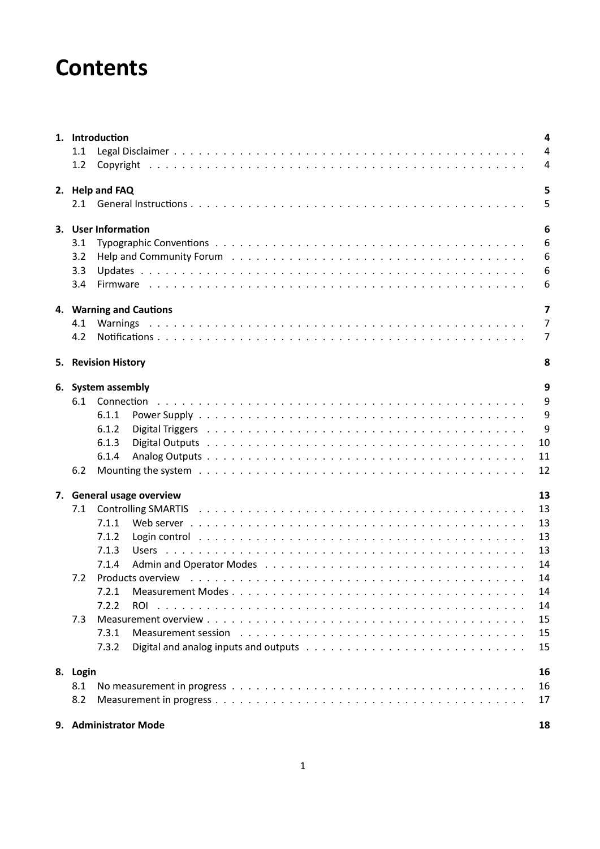## **Contents**

|          | 1. Introduction                                                                                                                                                                                                                         | 4              |
|----------|-----------------------------------------------------------------------------------------------------------------------------------------------------------------------------------------------------------------------------------------|----------------|
| 1.1      |                                                                                                                                                                                                                                         | $\overline{4}$ |
| 1.2      |                                                                                                                                                                                                                                         | $\overline{4}$ |
|          | 2. Help and FAQ                                                                                                                                                                                                                         | 5              |
|          |                                                                                                                                                                                                                                         | 5              |
|          | 3. User Information                                                                                                                                                                                                                     | 6              |
| 3.1      |                                                                                                                                                                                                                                         | 6              |
| 3.2      |                                                                                                                                                                                                                                         | 6              |
| 3.3      |                                                                                                                                                                                                                                         | 6              |
| 3.4      |                                                                                                                                                                                                                                         | 6              |
|          | 4. Warning and Cautions                                                                                                                                                                                                                 | $\overline{7}$ |
| 4.1      |                                                                                                                                                                                                                                         | $\overline{7}$ |
| 4.2      |                                                                                                                                                                                                                                         | $\overline{7}$ |
|          | 5. Revision History                                                                                                                                                                                                                     | 8              |
|          | 6. System assembly                                                                                                                                                                                                                      | 9              |
|          |                                                                                                                                                                                                                                         | 9              |
|          | 6.1.1                                                                                                                                                                                                                                   | 9              |
|          | 6.1.2                                                                                                                                                                                                                                   | 9              |
|          | 6.1.3                                                                                                                                                                                                                                   | 10             |
|          | 6.1.4                                                                                                                                                                                                                                   | 11             |
| 6.2      |                                                                                                                                                                                                                                         | 12             |
|          | 7. General usage overview                                                                                                                                                                                                               | 13             |
| 7.1      |                                                                                                                                                                                                                                         | 13             |
|          | 7.1.1                                                                                                                                                                                                                                   | 13             |
|          | Login control with the state of the state of the state of the state of the state of the state of the state of the state of the state of the state of the state of the state of the state of the state of the state of the stat<br>7.1.2 | 13             |
|          | 7.1.3                                                                                                                                                                                                                                   | 13             |
|          | 7.1.4                                                                                                                                                                                                                                   | 14             |
| 7.2      | Products overview (a) and a contract of the contract of the contract of the contract of the contract of the contract of the contract of the contract of the contract of the contract of the contract of the contract of the co          | 14             |
|          | 7.2.1                                                                                                                                                                                                                                   | 14             |
|          | 7.2.2<br><b>ROI</b>                                                                                                                                                                                                                     | 14             |
| 7.3      |                                                                                                                                                                                                                                         | 15             |
|          | 7.3.1<br>Measurement session education of the contract of the contract of the contract of the contract of the contract o                                                                                                                | 15             |
|          | 7.3.2                                                                                                                                                                                                                                   | 15             |
| 8. Login |                                                                                                                                                                                                                                         | 16             |
| 8.1      |                                                                                                                                                                                                                                         | 16             |
| 8.2      |                                                                                                                                                                                                                                         | 17             |
|          | 9. Administrator Mode                                                                                                                                                                                                                   | 18             |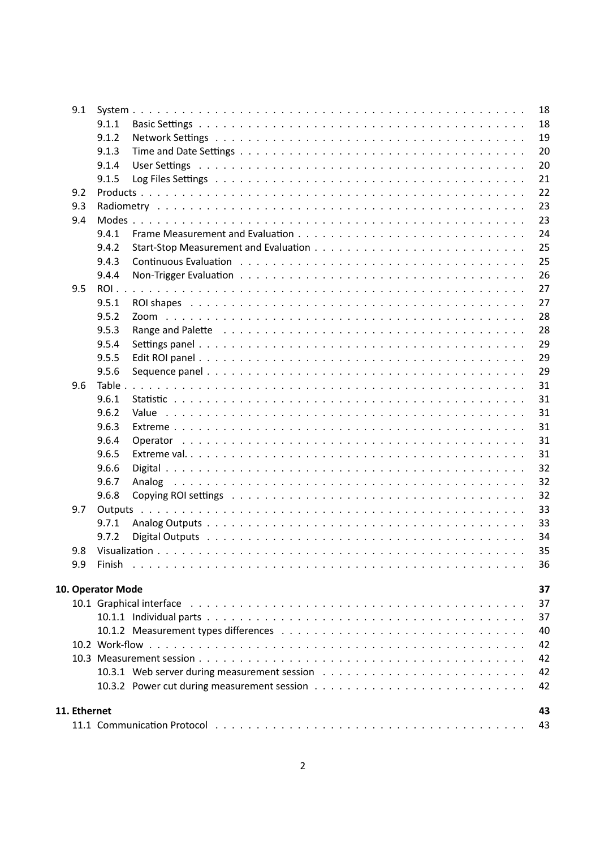|              | 9.1 |                   |                                                                                                                | 18 |
|--------------|-----|-------------------|----------------------------------------------------------------------------------------------------------------|----|
|              |     | 9.1.1             |                                                                                                                | 18 |
|              |     | 9.1.2             |                                                                                                                | 19 |
|              |     | 9.1.3             |                                                                                                                | 20 |
|              |     | 9.1.4             |                                                                                                                | 20 |
|              |     | 9.1.5             |                                                                                                                | 21 |
|              | 9.2 |                   |                                                                                                                | 22 |
|              | 9.3 |                   |                                                                                                                | 23 |
|              | 9.4 |                   |                                                                                                                | 23 |
|              |     | 9.4.1             |                                                                                                                | 24 |
|              |     | 9.4.2             |                                                                                                                | 25 |
|              |     | 9.4.3             |                                                                                                                | 25 |
|              |     | 9.4.4             |                                                                                                                | 26 |
|              | 9.5 | ROI               |                                                                                                                | 27 |
|              |     | 9.5.1             |                                                                                                                | 27 |
|              |     | 9.5.2             |                                                                                                                | 28 |
|              |     | 9.5.3             | Range and Palette responses to the contract of the contract of the contract of the contract of the contract of | 28 |
|              |     | 9.5.4             |                                                                                                                | 29 |
|              |     | 9.5.5             |                                                                                                                | 29 |
|              |     | 9.5.6             |                                                                                                                | 29 |
|              | 9.6 | Table.            |                                                                                                                | 31 |
|              |     | 9.6.1             |                                                                                                                | 31 |
|              |     | 9.6.2             |                                                                                                                | 31 |
|              |     | 9.6.3             |                                                                                                                | 31 |
|              |     | 9.6.4             |                                                                                                                | 31 |
|              |     | 9.6.5             |                                                                                                                | 31 |
|              |     | 9.6.6             |                                                                                                                | 32 |
|              |     | 9.6.7             |                                                                                                                | 32 |
|              |     | 9.6.8             |                                                                                                                | 32 |
|              | 9.7 |                   |                                                                                                                | 33 |
|              |     | 9.7.1             |                                                                                                                | 33 |
|              |     | 9.7.2             |                                                                                                                | 34 |
|              | 9.8 |                   |                                                                                                                | 35 |
|              | 9.9 |                   |                                                                                                                | 36 |
|              |     |                   |                                                                                                                |    |
|              |     | 10. Operator Mode |                                                                                                                | 37 |
|              |     |                   |                                                                                                                | 37 |
|              |     |                   |                                                                                                                | 37 |
|              |     |                   |                                                                                                                | 40 |
|              |     |                   |                                                                                                                | 42 |
|              |     |                   |                                                                                                                | 42 |
|              |     |                   |                                                                                                                | 42 |
|              |     |                   |                                                                                                                | 42 |
| 11. Ethernet |     |                   |                                                                                                                | 43 |
|              |     |                   |                                                                                                                | 43 |
|              |     |                   |                                                                                                                |    |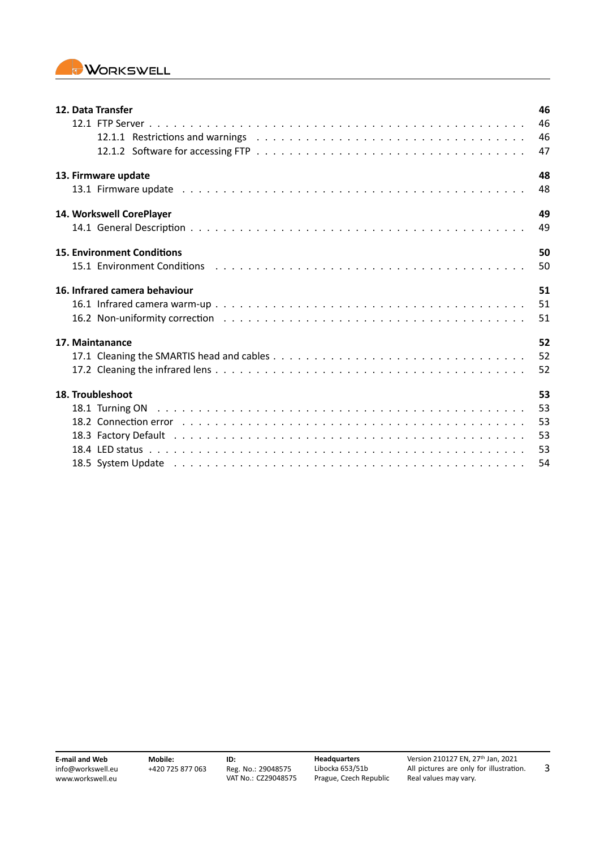

| 12. Data Transfer                                                                                                                                                                                                              | 46 |
|--------------------------------------------------------------------------------------------------------------------------------------------------------------------------------------------------------------------------------|----|
|                                                                                                                                                                                                                                | 46 |
|                                                                                                                                                                                                                                | 46 |
|                                                                                                                                                                                                                                | 47 |
| 13. Firmware update                                                                                                                                                                                                            | 48 |
|                                                                                                                                                                                                                                | 48 |
| 14. Workswell CorePlayer                                                                                                                                                                                                       | 49 |
|                                                                                                                                                                                                                                | 49 |
| <b>15. Environment Conditions</b>                                                                                                                                                                                              | 50 |
| 15.1 Environment Conditions (a) and a series and a series and a series and conditions of the series and the series of the series of the series of the series of the series of the series of the series of the series of the se | 50 |
| 16. Infrared camera behaviour                                                                                                                                                                                                  | 51 |
|                                                                                                                                                                                                                                | 51 |
|                                                                                                                                                                                                                                | 51 |
| 17. Maintanance                                                                                                                                                                                                                | 52 |
|                                                                                                                                                                                                                                | 52 |
|                                                                                                                                                                                                                                | 52 |
| 18. Troubleshoot                                                                                                                                                                                                               | 53 |
|                                                                                                                                                                                                                                | 53 |
|                                                                                                                                                                                                                                | 53 |
|                                                                                                                                                                                                                                | 53 |
|                                                                                                                                                                                                                                | 53 |
|                                                                                                                                                                                                                                | 54 |

3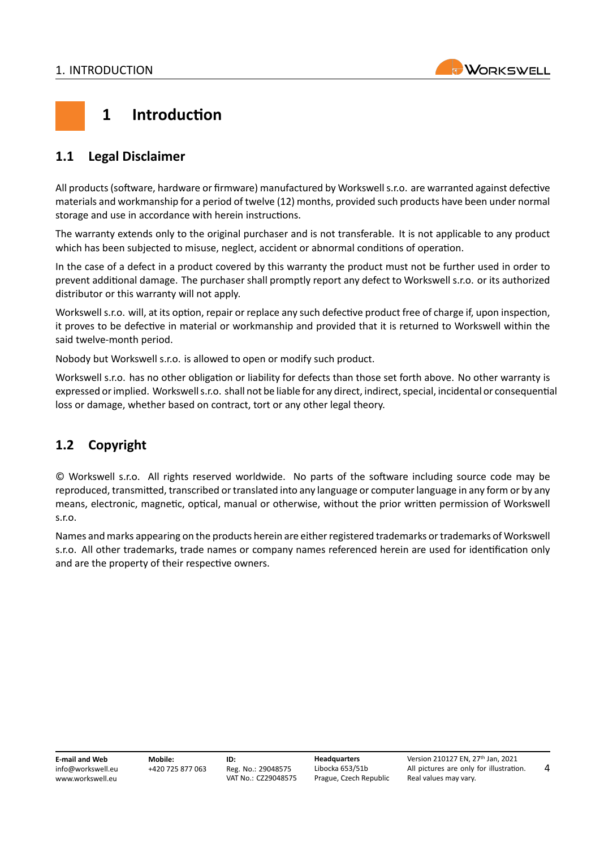

## <span id="page-4-0"></span>**1 Introduction**

## <span id="page-4-1"></span>**1.1 Legal Disclaimer**

All products (software, hardware or firmware) manufactured by Workswell s.r.o. are warranted against defective materials and workmanship for a period of twelve (12) months, provided such products have been under normal storage and use in accordance with herein instructions.

The warranty extends only to the original purchaser and is not transferable. It is not applicable to any product which has been subjected to misuse, neglect, accident or abnormal conditions of operation.

In the case of a defect in a product covered by this warranty the product must not be further used in order to prevent additional damage. The purchaser shall promptly report any defect to Workswell s.r.o. or its authorized distributor or this warranty will not apply.

Workswell s.r.o. will, at its option, repair or replace any such defective product free of charge if, upon inspection, it proves to be defective in material or workmanship and provided that it is returned to Workswell within the said twelve‐month period.

Nobody but Workswell s.r.o. is allowed to open or modify such product.

Workswell s.r.o. has no other obligation or liability for defects than those set forth above. No other warranty is expressed or implied. Workswell s.r.o. shall not be liable for any direct, indirect, special, incidental or consequential loss or damage, whether based on contract, tort or any other legal theory.

## <span id="page-4-2"></span>**1.2 Copyright**

© Workswell s.r.o. All rights reserved worldwide. No parts of the software including source code may be reproduced, transmitted, transcribed or translated into any language or computer language in any form or by any means, electronic, magnetic, optical, manual or otherwise, without the prior written permission of Workswell s.r.o.

Names and marks appearing on the products herein are either registered trademarks or trademarks of Workswell s.r.o. All other trademarks, trade names or company names referenced herein are used for identification only and are the property of their respective owners.

**E‐mail and Web** info@workswell.eu <www.workswell.eu> **Mobile:** +420 725 877 063 **ID:** Reg. No.: 29048575 VAT No.: CZ29048575 **Headquarters** Libocka 653/51b Prague, Czech Republic Version 210127 EN, 27th Jan, 2021 All pictures are only for illustration. Real values may vary.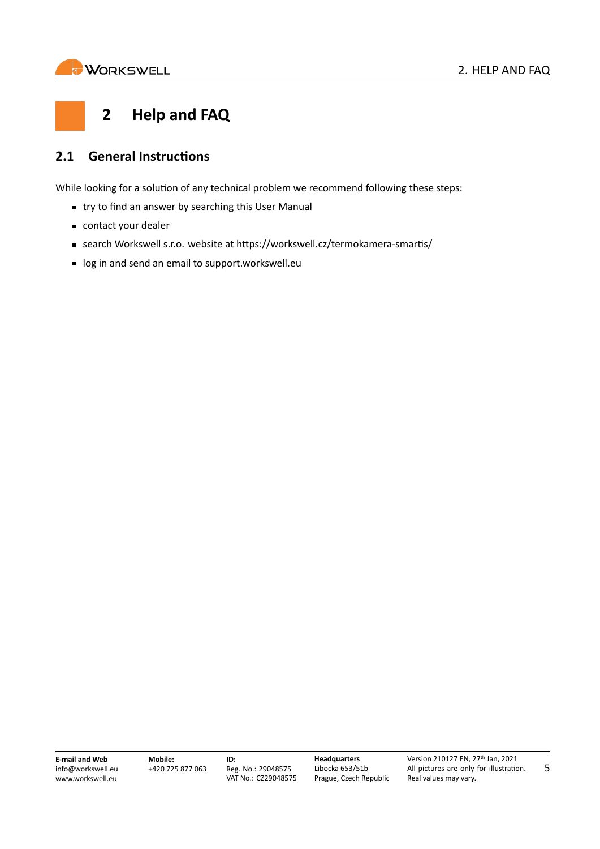<span id="page-5-0"></span>

## **2 Help and FAQ**

## <span id="page-5-1"></span>**2.1 General Instructions**

While looking for a solution of any technical problem we recommend following these steps:

- **try to find an answer by searching this User Manual**
- contact your dealer
- search Workswell s.r.o. website at https://workswell.cz/termokamera-smartis/
- log in and send an email to <support.workswell.eu>

**E‐mail and Web** info@workswell.eu <www.workswell.eu>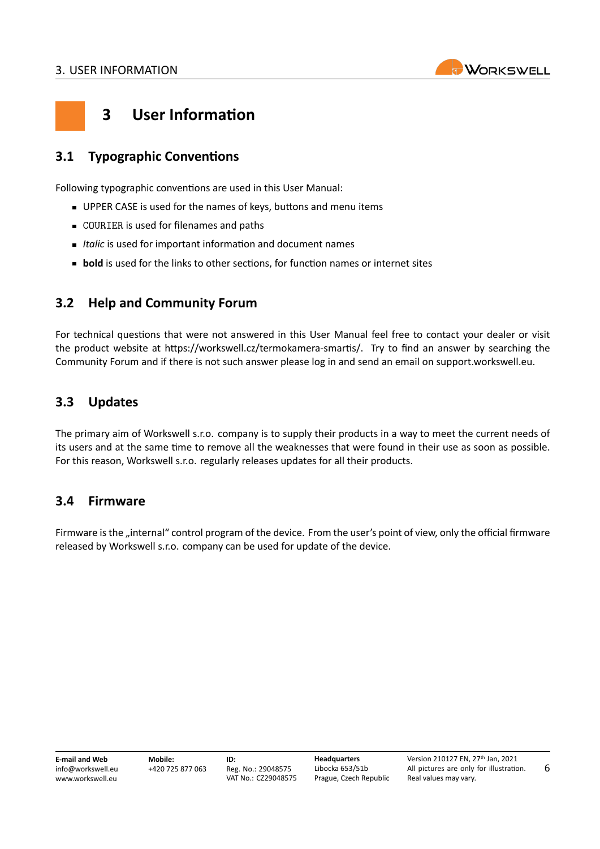

6

## <span id="page-6-0"></span>**3 User Information**

## <span id="page-6-1"></span>**3.1 Typographic Conventions**

Following typographic conventions are used in this User Manual:

- UPPER CASE is used for the names of keys, buttons and menu items
- COURIER is used for filenames and paths
- *Italic* is used for important information and document names
- **bold** is used for the links to other sections, for function names or internet sites

### <span id="page-6-2"></span>**3.2 Help and Community Forum**

For technical questions that were not answered in this User Manual feel free to contact your dealer or visit the product website at [https://workswell.cz/termokamera‐smartis/.](https://workswell.cz/termokamera-smartis/) Try to find an answer by searching the Community Forum and if there is not such answer please log in and send an email on [support.workswell.eu.](support.workswell.eu)

### <span id="page-6-3"></span>**3.3 Updates**

The primary aim of Workswell s.r.o. company is to supply their products in a way to meet the current needs of its users and at the same time to remove all the weaknesses that were found in their use as soon as possible. For this reason, Workswell s.r.o. regularly releases updates for all their products.

### <span id="page-6-4"></span>**3.4 Firmware**

Firmware is the "internal" control program of the device. From the user's point of view, only the official firmware released by Workswell s.r.o. company can be used for update of the device.

**E‐mail and Web** info@workswell.eu <www.workswell.eu> **Mobile:** +420 725 877 063 **ID:** Reg. No.: 29048575 VAT No.: CZ29048575 **Headquarters** Libocka 653/51b Prague, Czech Republic Version 210127 EN, 27th Jan, 2021 All pictures are only for illustration. Real values may vary.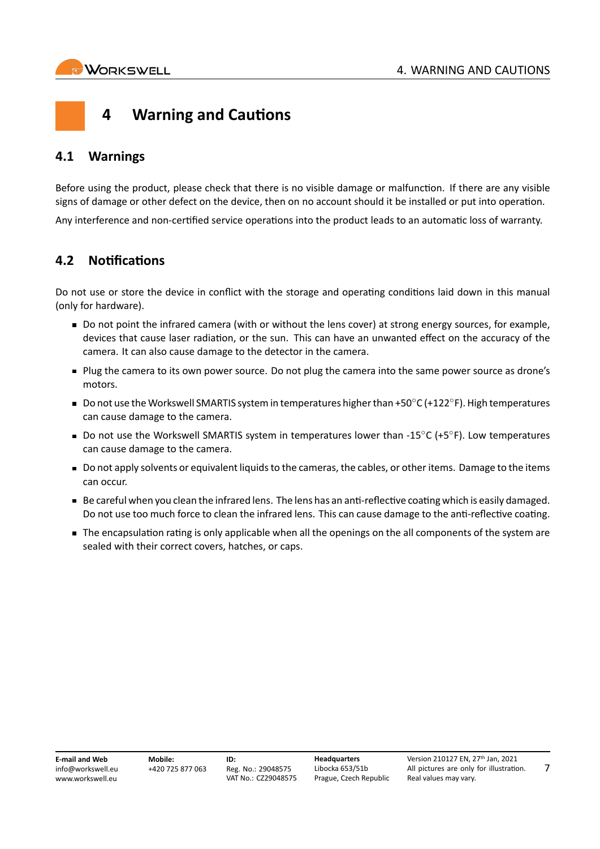7

## <span id="page-7-0"></span>**4 Warning and Cautions**

## <span id="page-7-1"></span>**4.1 Warnings**

Before using the product, please check that there is no visible damage or malfunction. If there are any visible signs of damage or other defect on the device, then on no account should it be installed or put into operation.

Any interference and non‐certified service operations into the product leads to an automatic loss of warranty.

## <span id="page-7-2"></span>**4.2 Notifications**

Do not use or store the device in conflict with the storage and operating conditions laid down in this manual (only for hardware).

- Do not point the infrared camera (with or without the lens cover) at strong energy sources, for example, devices that cause laser radiation, or the sun. This can have an unwanted effect on the accuracy of the camera. It can also cause damage to the detector in the camera.
- Plug the camera to its own power source. Do not plug the camera into the same power source as drone's motors.
- Do not use the Workswell SMARTIS system in temperatures higher than +50*◦*C (+122*◦* F). High temperatures can cause damage to the camera.
- Do not use the Workswell SMARTIS system in temperatures lower than ‐15*◦*C (+5*◦* F). Low temperatures can cause damage to the camera.
- Do not apply solvents or equivalent liquids to the cameras, the cables, or other items. Damage to the items can occur.
- Be careful when you clean the infrared lens. The lens has an anti-reflective coating which is easily damaged. Do not use too much force to clean the infrared lens. This can cause damage to the anti-reflective coating.
- The encapsulation rating is only applicable when all the openings on the all components of the system are sealed with their correct covers, hatches, or caps.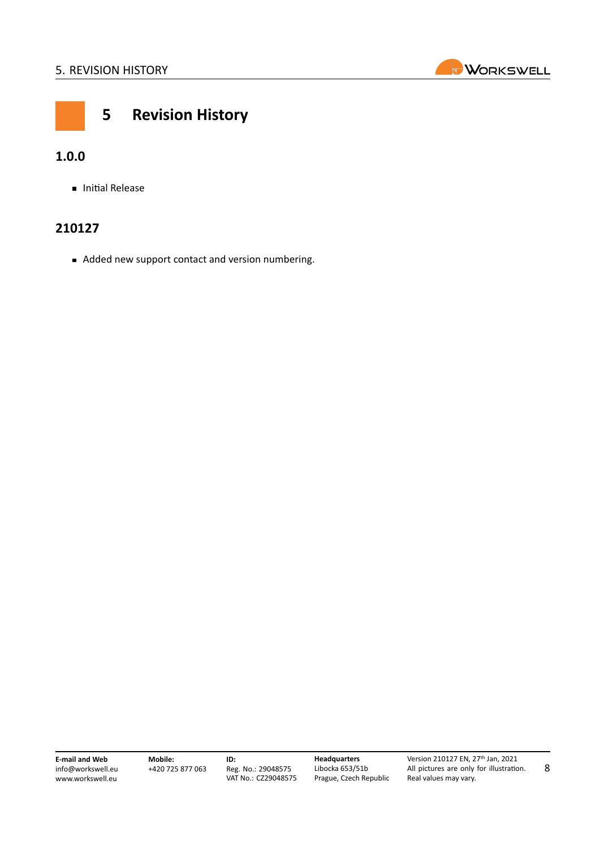

<span id="page-8-0"></span>

## **5 Revision History**

## **1.0.0**

**Initial Release** 

## **210127**

Added new support contact and version numbering.

**E‐mail and Web** info@workswell.eu <www.workswell.eu>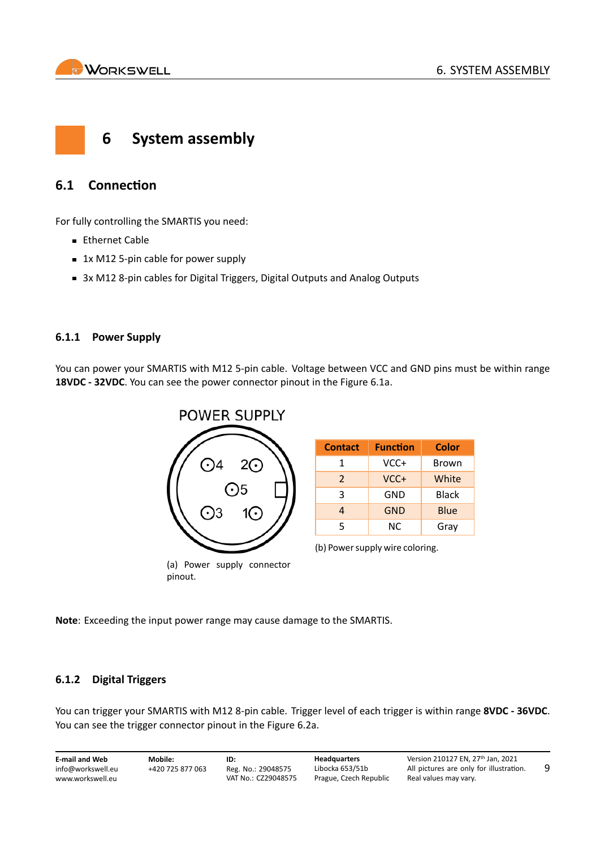

<span id="page-9-0"></span>

## <span id="page-9-1"></span>**6.1 Connection**

For fully controlling the SMARTIS you need:

- **Ethernet Cable**
- 1x M12 5-pin cable for power supply
- 3x M12 8-pin cables for Digital Triggers, Digital Outputs and Analog Outputs

#### <span id="page-9-2"></span>**6.1.1 Power Supply**

<span id="page-9-4"></span>You can power your SMARTIS with M12 5-pin cable. Voltage between VCC and GND pins must be within range **18VDC ‐ 32VDC**. You can see the power connector pinout in the Figure [6.1a.](#page-9-4)



| <b>Contact</b> | <b>Function</b> | <b>Color</b> |
|----------------|-----------------|--------------|
| 1              | VCC+            | Brown        |
| $\mathcal{P}$  | VCC+            | White        |
| 3              | GND             | Black        |
| 4              | <b>GND</b>      | Blue         |
| 5              | NC.             | Gray         |

(b) Power supply wire coloring.

**Note**: Exceeding the input power range may cause damage to the SMARTIS.

#### <span id="page-9-3"></span>**6.1.2 Digital Triggers**

You can trigger your SMARTIS with M12 8‐pin cable. Trigger level of each trigger is within range **8VDC ‐ 36VDC**. You can see the trigger connector pinout in the Figure [6.2a](#page-10-1).

| <b>E-mail and Web</b> | Mobile:          | ID:                 | <b>Headquarters</b>    | Version 210127 EN. 27th Jan. 2021       |  |
|-----------------------|------------------|---------------------|------------------------|-----------------------------------------|--|
| info@workswell.eu     | +420 725 877 063 | Reg. No.: 29048575  | Libocka 653/51b        | All pictures are only for illustration. |  |
| www.workswell.eu      |                  | VAT No.: CZ29048575 | Prague, Czech Republic | Real values may vary.                   |  |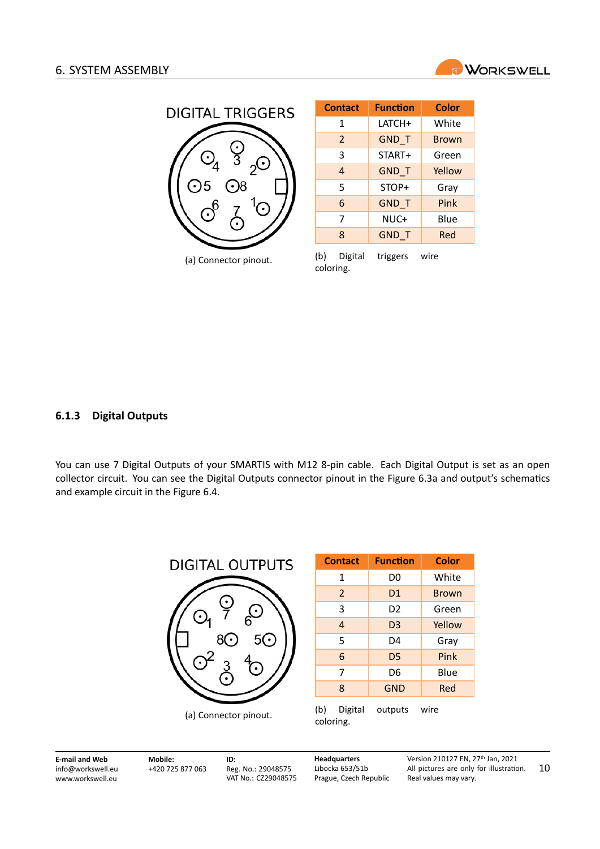

<span id="page-10-1"></span>

| <b>Contact</b> | <b>Function</b> | <b>Color</b> |
|----------------|-----------------|--------------|
| 1              | LATCH+          | White        |
| $\overline{2}$ | GND_T           | <b>Brown</b> |
| 3              | START+          | Green        |
| 4              | <b>GND T</b>    | Yellow       |
| 5              | STOP+           | Gray         |
| 6              | <b>GND T</b>    | Pink         |
| 7              | NUC+            | Blue         |
| 8              | <b>GND T</b>    | Red          |
|                |                 |              |

(a) Connector pinout.

(b) Digital triggers wire coloring.

#### <span id="page-10-0"></span>**6.1.3 Digital Outputs**

<span id="page-10-2"></span>You can use 7 Digital Outputs of your SMARTIS with M12 8-pin cable. Each Digital Output is set as an open collector circuit. You can see the Digital Outputs connector pinout in the Figure [6.3a](#page-10-2) and output's schematics and example circuit in the Figure [6.4.](#page-11-1)



| <b>Contact</b> | <b>Function</b> | <b>Color</b> |
|----------------|-----------------|--------------|
| 1              | D0              | White        |
| $\overline{2}$ | D <sub>1</sub>  | <b>Brown</b> |
| 3              | D2              | Green        |
| $\overline{4}$ | D <sub>3</sub>  | Yellow       |
| 5              | D4              | Gray         |
| 6              | D <sub>5</sub>  | Pink         |
| 7              | D6              | Blue         |
| 8              | <b>GND</b>      | Red          |
| (h)<br>Nioital | outputs         | wire         |

(b) Digital outputs wire coloring.

**E‐mail and Web** info@workswell.eu <www.workswell.eu> **Mobile:** +420 725 877 063 **ID:** Reg. No.: 29048575 VAT No.: CZ29048575 **Headquarters** Libocka 653/51b Prague, Czech Republic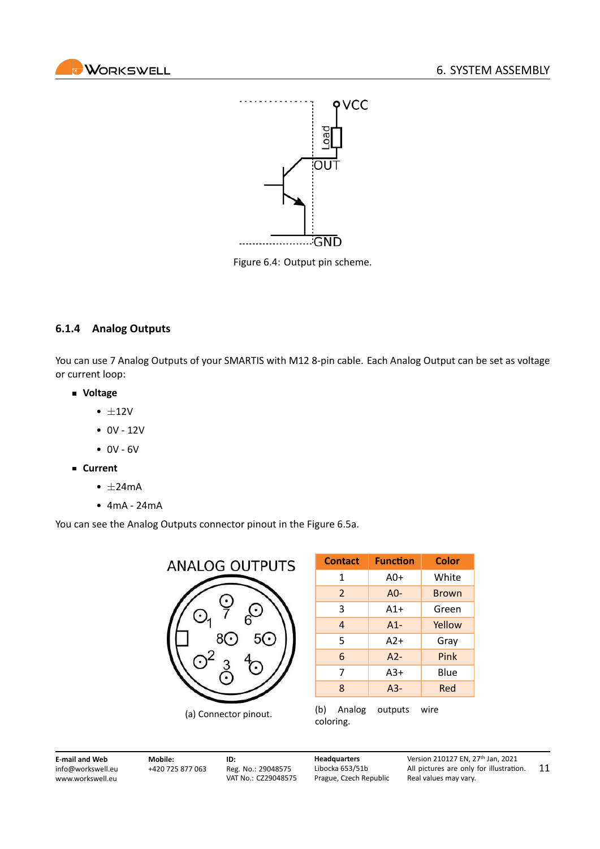<span id="page-11-1"></span>



Figure 6.4: Output pin scheme.

#### <span id="page-11-0"></span>**6.1.4 Analog Outputs**

You can use 7 Analog Outputs of your SMARTIS with M12 8-pin cable. Each Analog Output can be set as voltage or current loop:

- **Voltage**
	- *±*12V
	- 0V ‐ 12V
	- $0V 6V$
- **Current**
	- *±*24mA
	- 4mA ‐ 24mA

<span id="page-11-2"></span>You can see the Analog Outputs connector pinout in the Figure [6.5a.](#page-11-2)



| <b>Contact</b> | <b>Function</b> | Color        |
|----------------|-----------------|--------------|
| 1              | $A0+$           | White        |
| $\overline{2}$ | A0-             | <b>Brown</b> |
| 3              | $A1+$           | Green        |
| 4              | $A1-$           | Yellow       |
| 5              | $A2+$           | Gray         |
| 6              | $A2-$           | Pink         |
| 7              | $A3+$           | Blue         |
| 8              | $A3-$           | Red          |
| (b)<br>Analog  | outputs         | wire         |

coloring.

**E‐mail and Web** info@workswell.eu <www.workswell.eu> **Mobile:** +420 725 877 063 **ID:** Reg. No.: 29048575 VAT No.: CZ29048575 **Headquarters** Libocka 653/51b Prague, Czech Republic

Version 210127 EN, 27th Jan, 2021 All pictures are only for illustration. Real values may vary. 11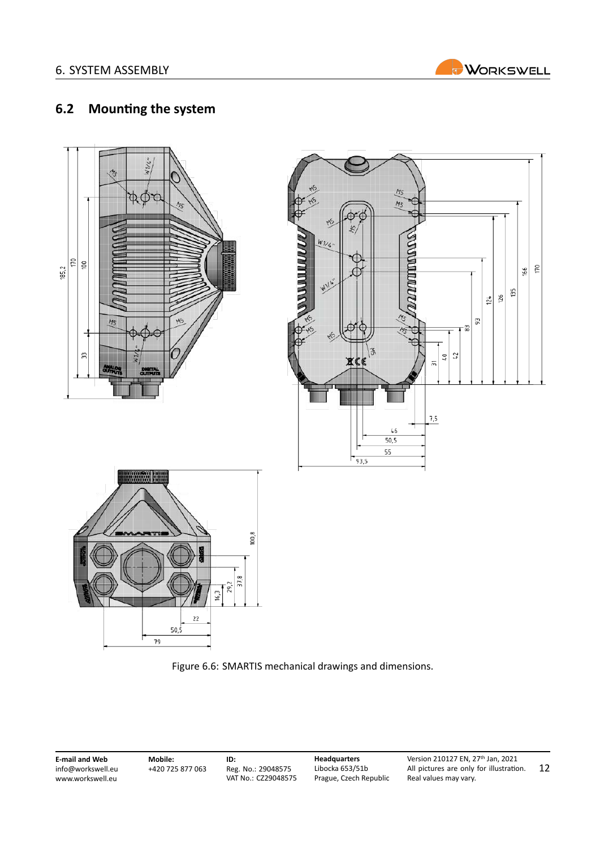

## <span id="page-12-0"></span>**6.2 Mounting the system**





**E‐mail and Web** info@workswell.eu <www.workswell.eu> **Mobile:** +420 725 877 063 **ID:** Reg. No.: 29048575 VAT No.: CZ29048575 **Headquarters** Libocka 653/51b Prague, Czech Republic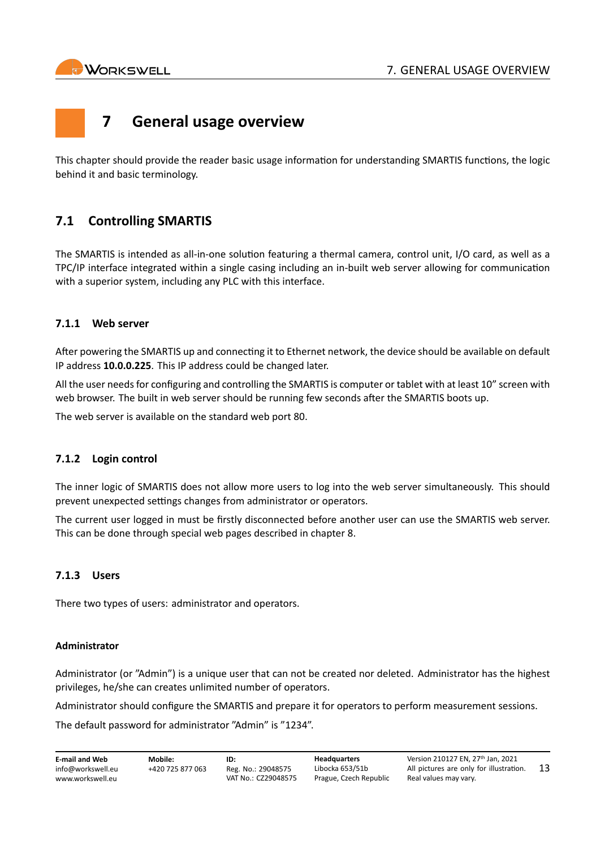<span id="page-13-0"></span>

## **7 General usage overview**

This chapter should provide the reader basic usage information for understanding SMARTIS functions, the logic behind it and basic terminology.

## <span id="page-13-1"></span>**7.1 Controlling SMARTIS**

The SMARTIS is intended as all‐in‐one solution featuring a thermal camera, control unit, I/O card, as well as a TPC/IP interface integrated within a single casing including an in‐built web server allowing for communication with a superior system, including any PLC with this interface.

#### <span id="page-13-2"></span>**7.1.1 Web server**

After powering the SMARTIS up and connecting it to Ethernet network, the device should be available on default IP address **10.0.0.225**. This IP address could be changed later.

All the user needs for configuring and controlling the SMARTIS is computer or tablet with at least 10" screen with web browser. The built in web server should be running few seconds after the SMARTIS boots up.

The web server is available on the standard web port 80.

#### <span id="page-13-3"></span>**7.1.2 Login control**

The inner logic of SMARTIS does not allow more users to log into the web server simultaneously. This should prevent unexpected settings changes from administrator or operators.

The current user logged in must be firstly disconnected before another user can use the SMARTIS web server. This can be done through special web pages described in chapter [8.](#page-16-0)

### <span id="page-13-4"></span>**7.1.3 Users**

There two types of users: administrator and operators.

#### **Administrator**

Administrator (or "Admin") is a unique user that can not be created nor deleted. Administrator has the highest privileges, he/she can creates unlimited number of operators.

Administrator should configure the SMARTIS and prepare it for operators to perform measurement sessions.

The default password for administrator "Admin" is "1234".

| <b>E-mail and Web</b> | Mobile:          | ID:                 | <b>Headquarters</b>    | Version 210127 EN. 27th Jan. 2021       |     |
|-----------------------|------------------|---------------------|------------------------|-----------------------------------------|-----|
| info@workswell.eu     | +420 725 877 063 | Reg. No.: 29048575  | Libocka 653/51b        | All pictures are only for illustration. | -13 |
| www.workswell.eu      |                  | VAT No.: CZ29048575 | Prague, Czech Republic | Real values may vary.                   |     |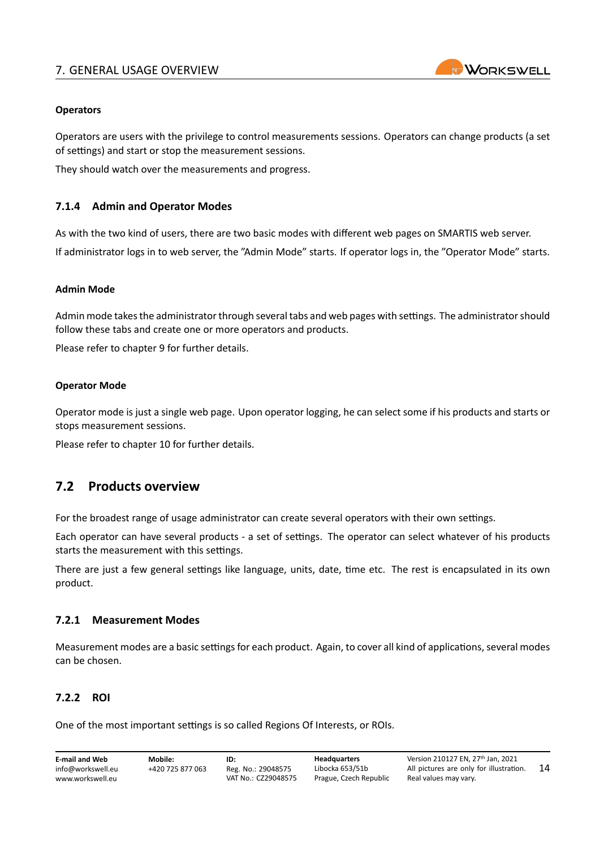

#### **Operators**

Operators are users with the privilege to control measurements sessions. Operators can change products (a set of settings) and start or stop the measurement sessions.

They should watch over the measurements and progress.

#### <span id="page-14-0"></span>**7.1.4 Admin and Operator Modes**

As with the two kind of users, there are two basic modes with different web pages on SMARTIS web server. If administrator logs in to web server, the "Admin Mode" starts. If operator logs in, the "Operator Mode" starts.

#### **Admin Mode**

Admin mode takes the administrator through several tabs and web pages with settings. The administrator should follow these tabs and create one or more operators and products.

Please refer to chapter [9](#page-18-0) for further details.

#### **Operator Mode**

Operator mode is just a single web page. Upon operator logging, he can select some if his products and starts or stops measurement sessions.

Please refer to chapter [10](#page-37-0) for further details.

### <span id="page-14-1"></span>**7.2 Products overview**

For the broadest range of usage administrator can create several operators with their own settings.

Each operator can have several products ‐ a set of settings. The operator can select whatever of his products starts the measurement with this settings.

There are just a few general settings like language, units, date, time etc. The rest is encapsulated in its own product.

#### <span id="page-14-2"></span>**7.2.1 Measurement Modes**

Measurement modes are a basic settings for each product. Again, to cover all kind of applications, several modes can be chosen.

#### <span id="page-14-3"></span>**7.2.2 ROI**

One of the most important settings is so called Regions Of Interests, or ROIs.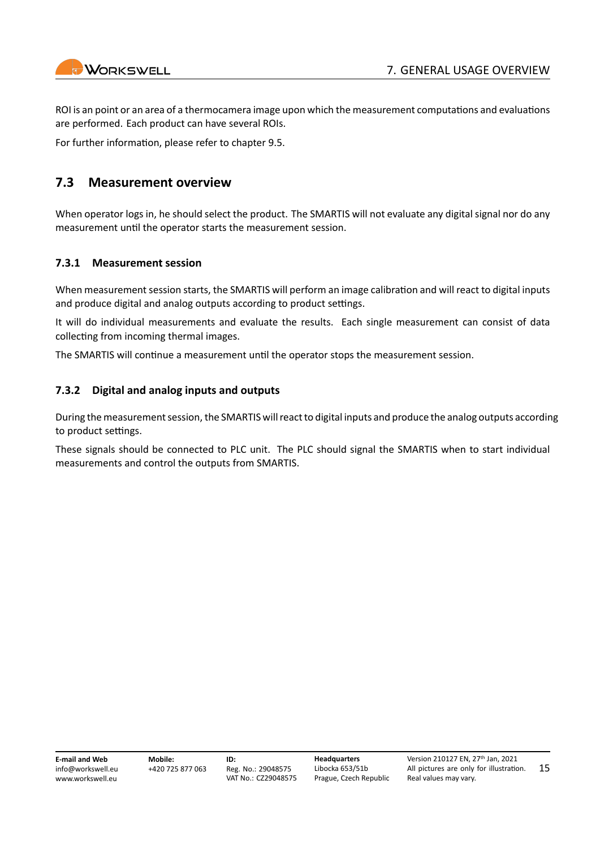

15

ROI is an point or an area of a thermocamera image upon which the measurement computations and evaluations are performed. Each product can have several ROIs.

For further information, please refer to chapter [9.5](#page-27-0).

### <span id="page-15-0"></span>**7.3 Measurement overview**

When operator logs in, he should select the product. The SMARTIS will not evaluate any digital signal nor do any measurement until the operator starts the measurement session.

#### <span id="page-15-1"></span>**7.3.1 Measurement session**

When measurement session starts, the SMARTIS will perform an image calibration and will react to digital inputs and produce digital and analog outputs according to product settings.

It will do individual measurements and evaluate the results. Each single measurement can consist of data collecting from incoming thermal images.

The SMARTIS will continue a measurement until the operator stops the measurement session.

#### <span id="page-15-2"></span>**7.3.2 Digital and analog inputs and outputs**

During the measurement session, the SMARTIS will react to digital inputs and produce the analog outputs according to product settings.

These signals should be connected to PLC unit. The PLC should signal the SMARTIS when to start individual measurements and control the outputs from SMARTIS.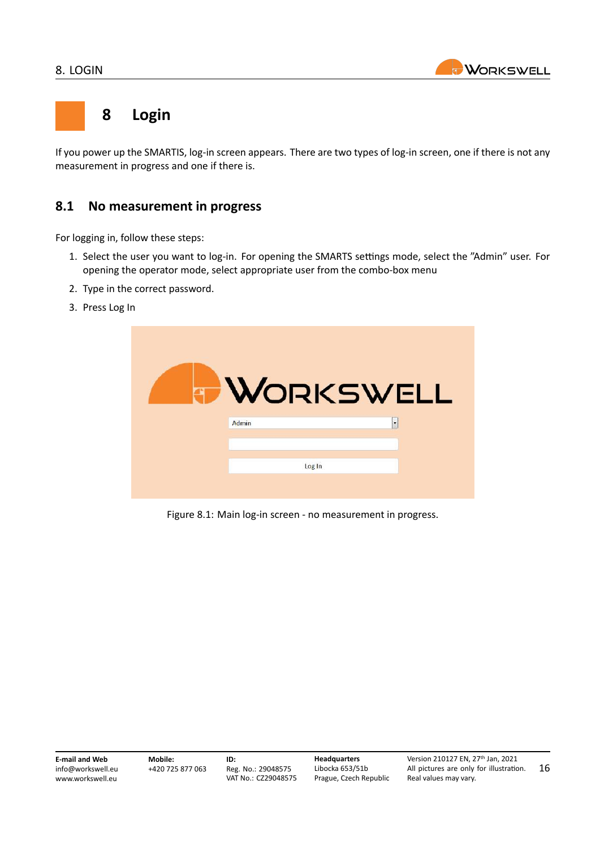

## <span id="page-16-0"></span>**8 Login**

If you power up the SMARTIS, log-in screen appears. There are two types of log-in screen, one if there is not any measurement in progress and one if there is.

## <span id="page-16-1"></span>**8.1 No measurement in progress**

For logging in, follow these steps:

- 1. Select the user you want to log‐in. For opening the SMARTS settings mode, select the "Admin" user. For opening the operator mode, select appropriate user from the combo‐box menu
- 2. Type in the correct password.
- 3. Press Log In

|       | <b>WORKSWELL</b> |
|-------|------------------|
| Admin | $\cdot$          |
|       | Log In           |

Figure 8.1: Main log‐in screen ‐ no measurement in progress.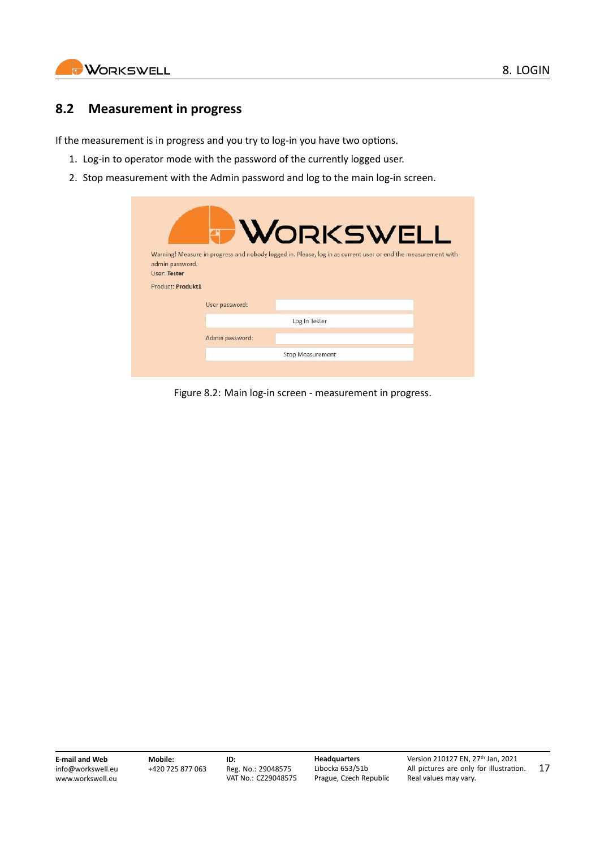

### <span id="page-17-0"></span>**8.2 Measurement in progress**

If the measurement is in progress and you try to log-in you have two options.

- 1. Log-in to operator mode with the password of the currently logged user.
- 2. Stop measurement with the Admin password and log to the main log-in screen.

|                                 |                 | <b>WORKSWELL</b>                                                                                              |
|---------------------------------|-----------------|---------------------------------------------------------------------------------------------------------------|
|                                 |                 |                                                                                                               |
|                                 |                 | Warning! Measure in progress and nobody logged in. Please, log in as current user or end the measurement with |
| admin password.<br>User: Tester |                 |                                                                                                               |
| Product: Produkt1               |                 |                                                                                                               |
|                                 | User password:  |                                                                                                               |
|                                 |                 | Log In Tester                                                                                                 |
|                                 | Admin password: |                                                                                                               |
|                                 |                 | <b>Stop Measurement</b>                                                                                       |
|                                 |                 |                                                                                                               |

Figure 8.2: Main log‐in screen ‐ measurement in progress.

**E‐mail and Web** info@workswell.eu <www.workswell.eu>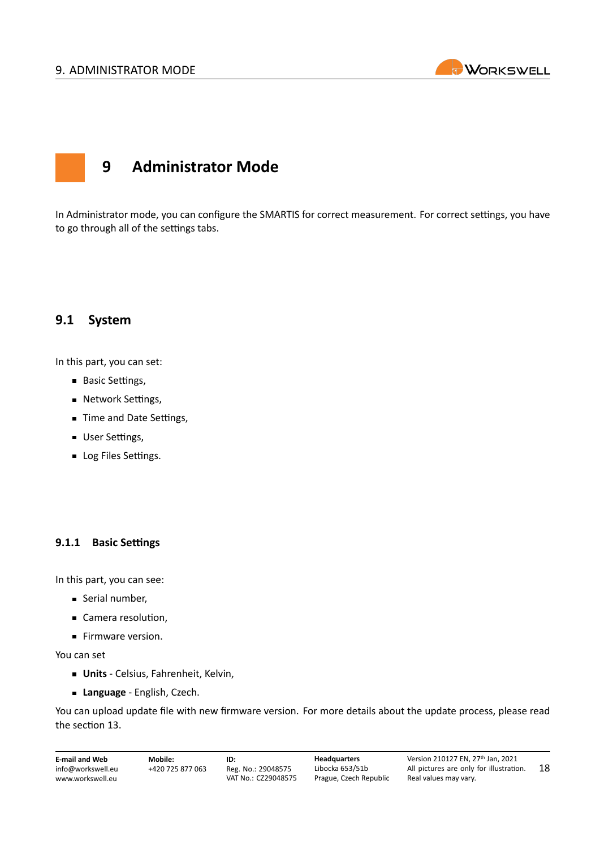#### <span id="page-18-0"></span>9. ADMINISTRATOR MODE



## **9 Administrator Mode**

In Administrator mode, you can configure the SMARTIS for correct measurement. For correct settings, you have to go through all of the settings tabs.

### <span id="page-18-1"></span>**9.1 System**

In this part, you can set:

- **Basic Settings,**
- **Network Settings,**
- **Time and Date Settings,**
- **User Settings,**
- **Log Files Settings.**

#### <span id="page-18-2"></span>**9.1.1 Basic Settings**

In this part, you can see:

- Serial number,
- Camera resolution,
- Firmware version.

You can set

- **Units** ‐ Celsius, Fahrenheit, Kelvin,
- **Language** ‐ English, Czech.

You can upload update file with new firmware version. For more details about the update process, please read the section [13.](#page-48-0)

**E‐mail and Web** info@workswell.eu <www.workswell.eu>

**ID:** Reg. No.: 29048575 VAT No.: CZ29048575 **Headquarters** Libocka 653/51b Prague, Czech Republic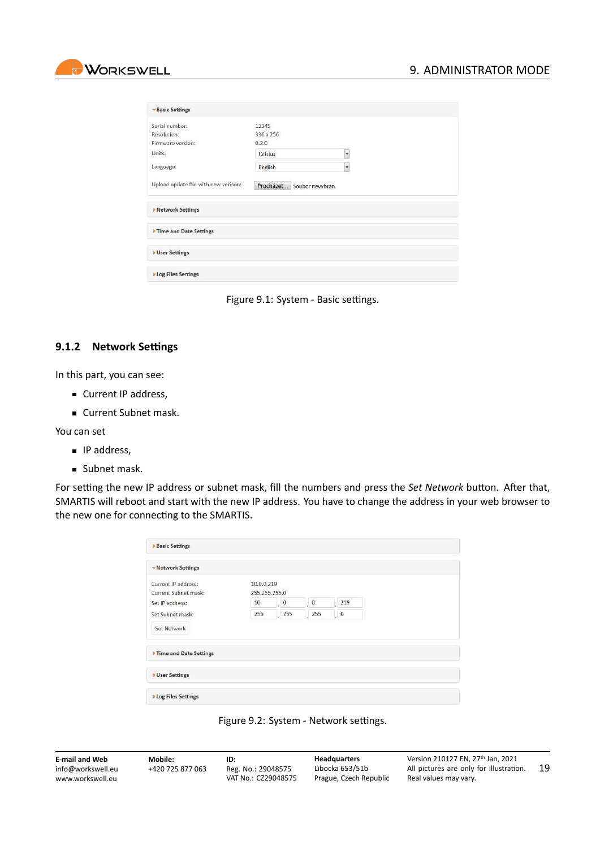

| <b>Basic Settings</b>                |                            |    |  |
|--------------------------------------|----------------------------|----|--|
| Serial number:                       | 12345                      |    |  |
| Resolution:                          | 336 x 256                  |    |  |
| Firmware version:                    | 0.2.0                      |    |  |
| Units:                               | Celsius                    |    |  |
| Language:                            | English                    | ÷. |  |
| Upload update file with new verison: | Procházet Soubor nevybrán. |    |  |
| <b>Network Settings</b>              |                            |    |  |
| Time and Date Settings               |                            |    |  |
| <b>User Settings</b>                 |                            |    |  |
| <b>Log Files Settings</b>            |                            |    |  |

Figure 9.1: System ‐ Basic settings.

#### <span id="page-19-0"></span>**9.1.2 Network Settings**

In this part, you can see:

- Current IP address,
- Current Subnet mask.

You can set

- **IP** address,
- **Subnet mask.**

For setting the new IP address or subnet mask, fill the numbers and press the *Set Network* button. After that, SMARTIS will reboot and start with the new IP address. You have to change the address in your web browser to the new one for connecting to the SMARTIS.

| <b>Basic Settings</b>                       |                             |                 |                 |                                        |  |
|---------------------------------------------|-----------------------------|-----------------|-----------------|----------------------------------------|--|
| -Network Settings                           |                             |                 |                 |                                        |  |
| Current IP address:<br>Current Subnet mask: | 10.0.0.219<br>255.255.255.0 |                 |                 |                                        |  |
| Set IP address:                             | 10                          | $\cdot$ 0       | $\overline{0}$  | $219$                                  |  |
| Set Subnet mask:                            | 255                         | $\frac{1}{255}$ | $\frac{1}{255}$ | $\begin{bmatrix} 0 \\ 0 \end{bmatrix}$ |  |
| Set Network                                 |                             |                 |                 |                                        |  |
| Time and Date Settings                      |                             |                 |                 |                                        |  |
| <b>b</b> User Settings                      |                             |                 |                 |                                        |  |
| <b>Log Files Settings</b>                   |                             |                 |                 |                                        |  |



| <b>E-mail and Web</b> | Mobile:          | ID:                 | <b>Headquarters</b>    | Version 210127 EN. 27th Jan. 2021       |    |
|-----------------------|------------------|---------------------|------------------------|-----------------------------------------|----|
| info@workswell.eu     | +420 725 877 063 | Reg. No.: 29048575  | Libocka 653/51b        | All pictures are only for illustration. | 19 |
| www.workswell.eu      |                  | VAT No.: CZ29048575 | Prague, Czech Republic | Real values may vary.                   |    |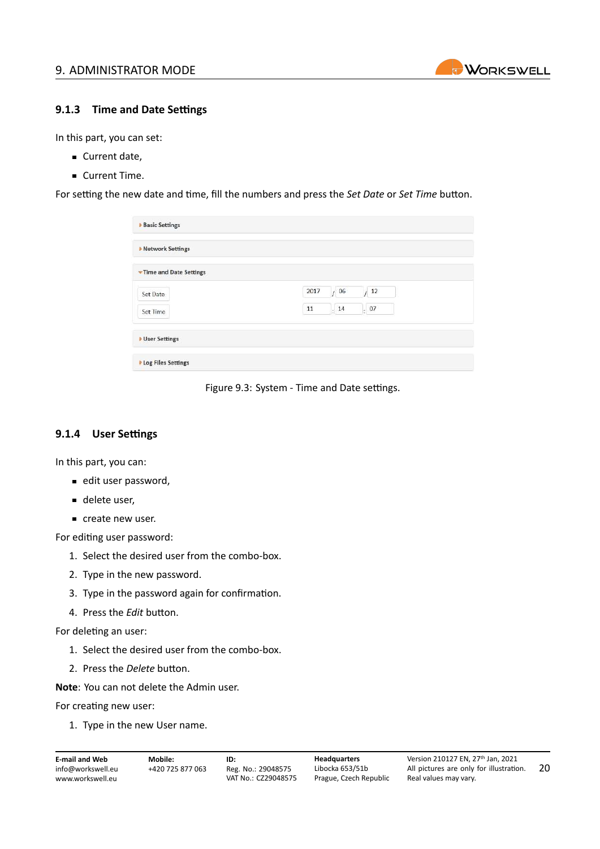

#### <span id="page-20-0"></span>**9.1.3 Time and Date Settings**

In this part, you can set:

- Current date,
- **Current Time.**

For setting the new date and time, fill the numbers and press the *Set Date* or *Set Time* button.

| <b>Basic Settings</b>     |                                                |
|---------------------------|------------------------------------------------|
| ▶ Network Settings        |                                                |
| Time and Date Settings    |                                                |
| Set Date                  | 2017<br>/06<br>12                              |
| Set Time                  | $\frac{1}{2}$ 07<br>$11\,$<br>$\frac{1}{2}$ 14 |
| ▶ User Settings           |                                                |
| <b>Log Files Settings</b> |                                                |

Figure 9.3: System ‐ Time and Date settings.

#### <span id="page-20-1"></span>**9.1.4 User Settings**

In this part, you can:

- edit user password,
- delete user,
- create new user.

For editing user password:

- 1. Select the desired user from the combo‐box.
- 2. Type in the new password.
- 3. Type in the password again for confirmation.
- 4. Press the *Edit* button.

For deleting an user:

- 1. Select the desired user from the combo‐box.
- 2. Press the *Delete* button.
- **Note**: You can not delete the Admin user.

For creating new user:

1. Type in the new User name.

```
E‐mail and Web
info@workswell.eu
www.workswell.eu
```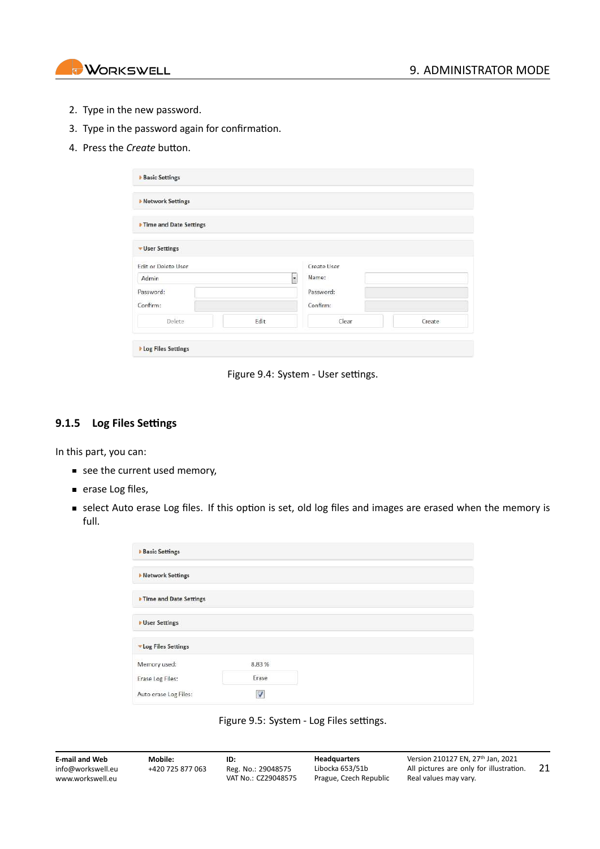

- 2. Type in the new password.
- 3. Type in the password again for confirmation.
- 4. Press the *Create* button.

| <b>Network Settings</b> |         |             |        |
|-------------------------|---------|-------------|--------|
| Time and Date Settings  |         |             |        |
| • User Settings         |         |             |        |
| Edit or Delete User     |         | Create User |        |
| Admin                   | $\cdot$ | Name:       |        |
| Password:               |         | Password:   |        |
| Confirm:                |         | Confirm:    |        |
|                         | Edit    | Clear       | Create |

Figure 9.4: System ‐ User settings.

#### <span id="page-21-0"></span>**9.1.5 Log Files Settings**

In this part, you can:

- see the current used memory,
- **erase Log files,**
- select Auto erase Log files. If this option is set, old log files and images are erased when the memory is full.

| <b>Basic Settings</b>     |                      |  |
|---------------------------|----------------------|--|
| <b>Network Settings</b>   |                      |  |
| Time and Date Settings    |                      |  |
| <b>User Settings</b>      |                      |  |
| <b>Log Files Settings</b> |                      |  |
| Memory used:              | <b>CAND</b><br>8.83% |  |
| Erase Log Files:          | Erase                |  |
| Auto erase Log Files:     | V                    |  |



| <b>E-mail and Web</b> | Mobile:          | ID:                 | <b>Headquarters</b>    | Version 210127 EN. 27th Jan. 2021       |    |
|-----------------------|------------------|---------------------|------------------------|-----------------------------------------|----|
| info@workswell.eu     | +420 725 877 063 | Reg. No.: 29048575  | Libocka 653/51b        | All pictures are only for illustration. | 21 |
| www.workswell.eu      |                  | VAT No.: CZ29048575 | Prague, Czech Republic | Real values may vary.                   |    |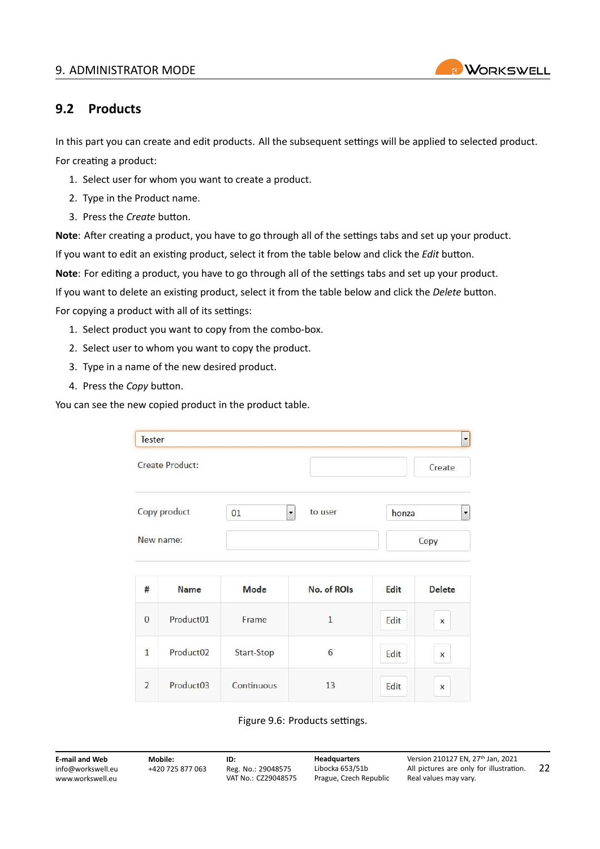#### 9. ADMINISTRATOR MODE



## <span id="page-22-0"></span>**9.2 Products**

In this part you can create and edit products. All the subsequent settings will be applied to selected product. For creating a product:

- 1. Select user for whom you want to create a product.
- 2. Type in the Product name.
- 3. Press the *Create* button.

**Note**: After creating a product, you have to go through all of the settings tabs and set up your product. If you want to edit an existing product, select it from the table below and click the *Edit* button.

**Note**: For editing a product, you have to go through all of the settings tabs and set up your product.

If you want to delete an existing product, select it from the table below and click the *Delete* button.

For copying a product with all of its settings:

- 1. Select product you want to copy from the combo‐box.
- 2. Select user to whom you want to copy the product.
- 3. Type in a name of the new desired product.
- 4. Press the *Copy* button.

You can see the new copied product in the product table.

| <b>Tester</b>  |                 |                            |              |       |                          |
|----------------|-----------------|----------------------------|--------------|-------|--------------------------|
|                | Create Product: |                            |              |       | Create                   |
|                | Copy product    | $\ddot{\phantom{0}}$<br>01 | to user      | honza | $\overline{\phantom{a}}$ |
|                | New name:       |                            |              |       | Copy                     |
| #              | <b>Name</b>     | Mode                       | No. of ROIs  | Edit  | <b>Delete</b>            |
| $\Omega$       | Product01       | Frame                      | $\mathbf{1}$ | Edit  | $\mathsf{x}$             |
| $\mathbf{1}$   | Product02       | Start-Stop                 | 6            | Edit  | $\pmb{\times}$           |
| $\overline{2}$ | Product03       | Continuous                 | 13           | Edit  | $\overline{\mathbf{x}}$  |

Figure 9.6: Products settings.

| <b>E-mail and Web</b> |
|-----------------------|
| info@workswell.eu     |
| www.workswell.eu      |

**Mobile:** +420 725 877 063 **ID:** Reg. No.: 29048575 VAT No.: CZ29048575 **Headquarters** Libocka 653/51b Prague, Czech Republic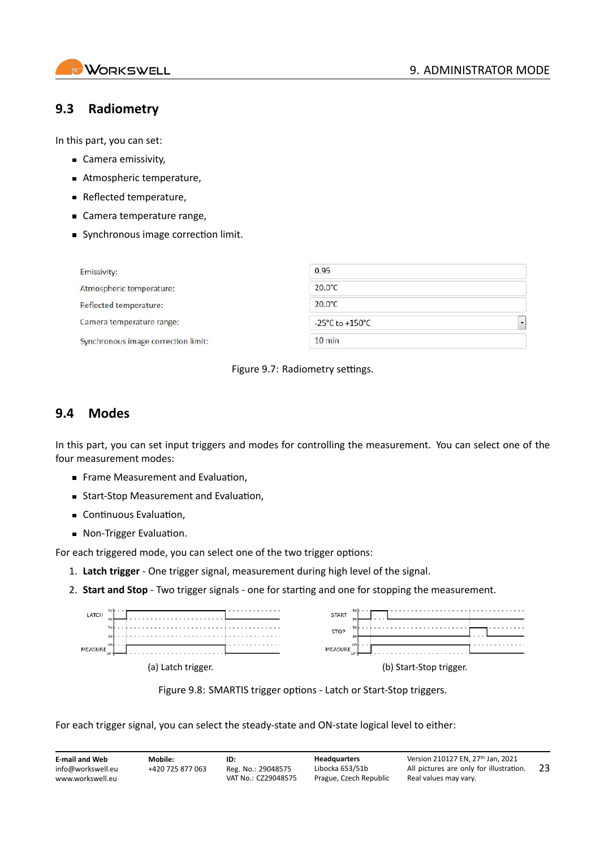

## <span id="page-23-0"></span>**9.3 Radiometry**

In this part, you can set:

- Camera emissivity,
- Atmospheric temperature,
- **Reflected temperature,**
- Camera temperature range,
- Synchronous image correction limit.

| Emissivity:                         | 0.95             |  |
|-------------------------------------|------------------|--|
| Atmospheric temperature:            | $20.0^{\circ}$ C |  |
| Reflected temperature:              | $20.0^{\circ}$ C |  |
| Camera temperature range:           | -25°C to +150°C  |  |
| Synchronous image correction limit: | $10 \text{ min}$ |  |

Figure 9.7: Radiometry settings.

### <span id="page-23-1"></span>**9.4 Modes**

In this part, you can set input triggers and modes for controlling the measurement. You can select one of the four measurement modes:

- **Frame Measurement and Evaluation,**
- Start-Stop Measurement and Evaluation,
- Continuous Evaluation,
- Non-Trigger Evaluation.

For each triggered mode, you can select one of the two trigger options:

- 1. **Latch trigger** ‐ One trigger signal, measurement during high level of the signal.
- 2. **Start and Stop** ‐ Two trigger signals ‐ one for starting and one for stopping the measurement.

| 5V <sub>F</sub><br>- -<br>LATCH | 5V<br>STAR <sub>1</sub>   |
|---------------------------------|---------------------------|
|                                 | <b>SAL</b><br><b>STOP</b> |
| DN<br>MEASURE<br>OF             | ON<br>MEASURE<br>OF       |
| (a) Latch trigger.              | (b) Start-Stop trigger.   |

Figure 9.8: SMARTIS trigger options ‐ Latch or Start‐Stop triggers.

For each trigger signal, you can select the steady-state and ON-state logical level to either: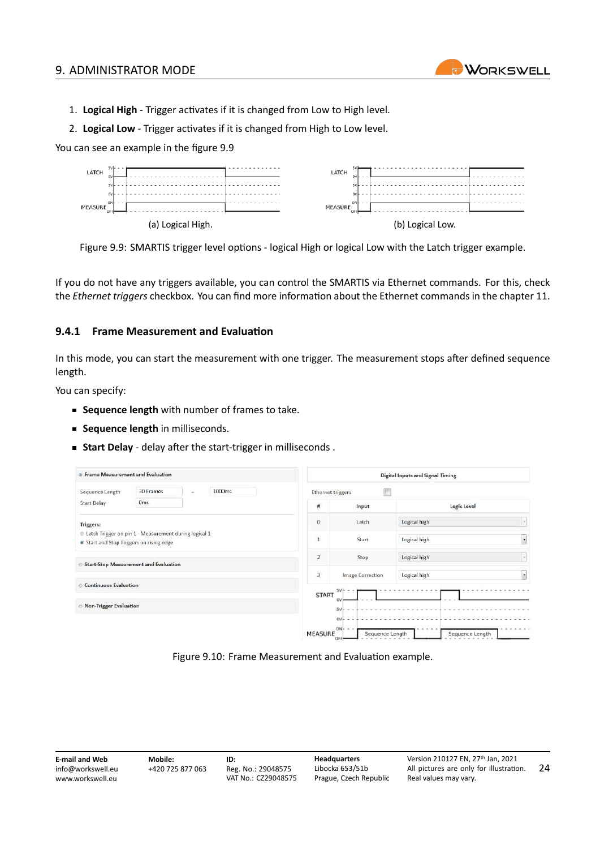

- 1. **Logical High** ‐ Trigger activates if it is changed from Low to High level.
- 2. **Logical Low** ‐ Trigger activates if it is changed from High to Low level.

You can see an example in the figure [9.9](#page-24-1)

<span id="page-24-1"></span>

Figure 9.9: SMARTIS trigger level options ‐ logical High or logical Low with the Latch trigger example.

If you do not have any triggers available, you can control the SMARTIS via Ethernet commands. For this, check the *Ethernet triggers* checkbox. You can find more information about the Ethernet commands in the chapter [11](#page-43-0).

#### <span id="page-24-0"></span>**9.4.1 Frame Measurement and Evaluation**

In this mode, you can start the measurement with one trigger. The measurement stops after defined sequence length.

You can specify:

- **Sequence length** with number of frames to take.
- **Sequence length** in milliseconds.
- **Start Delay** ‐ delay after the start‐trigger in milliseconds .

| ® Frame Measurement and Evaluation                                                                  |                          |  |                         |                                    | <b>Digital Inputs and Signal Timing</b> |                          |  |  |
|-----------------------------------------------------------------------------------------------------|--------------------------|--|-------------------------|------------------------------------|-----------------------------------------|--------------------------|--|--|
| Sequence Length                                                                                     | 30 Frames<br>H<br>1000ms |  |                         | <b>Ethernet triggers</b>           |                                         |                          |  |  |
| <b>Start Delay</b>                                                                                  | Orns                     |  | #                       | Input                              | Logic Level                             |                          |  |  |
| Triggers:                                                                                           |                          |  | $\theta$                | Latch                              | Logical high                            | $\mathcal{F}_i$          |  |  |
| C Latch Trigger on pin 1 - Measurement during logical 1<br>• Start and Stop Triggers on rising edge |                          |  | $\overline{1}$          | Start                              | Logical high                            | $\overline{\phantom{a}}$ |  |  |
| <b>Start-Stop Measurement and Evaluation</b>                                                        |                          |  | 2                       | Stop                               | Logical high                            | $\epsilon$               |  |  |
|                                                                                                     |                          |  | $\overline{\mathbf{3}}$ | Image Correction                   | Logical high                            | $\overline{z}$           |  |  |
| <b>Continuous Evaluation</b>                                                                        |                          |  | <b>START</b>            | 5V                                 |                                         |                          |  |  |
| Mon-Trigger Evaluation                                                                              |                          |  |                         | <b>DV</b><br>5V                    |                                         |                          |  |  |
|                                                                                                     |                          |  | <b>MEASURE</b>          | ov<br>ON<br>Sequence Length<br>OFF | Sequence Length                         |                          |  |  |

Figure 9.10: Frame Measurement and Evaluation example.

**E‐mail and Web** info@workswell.eu <www.workswell.eu> **Mobile:** +420 725 877 063 **ID:** Reg. No.: 29048575 VAT No.: CZ29048575 **Headquarters** Libocka 653/51b Prague, Czech Republic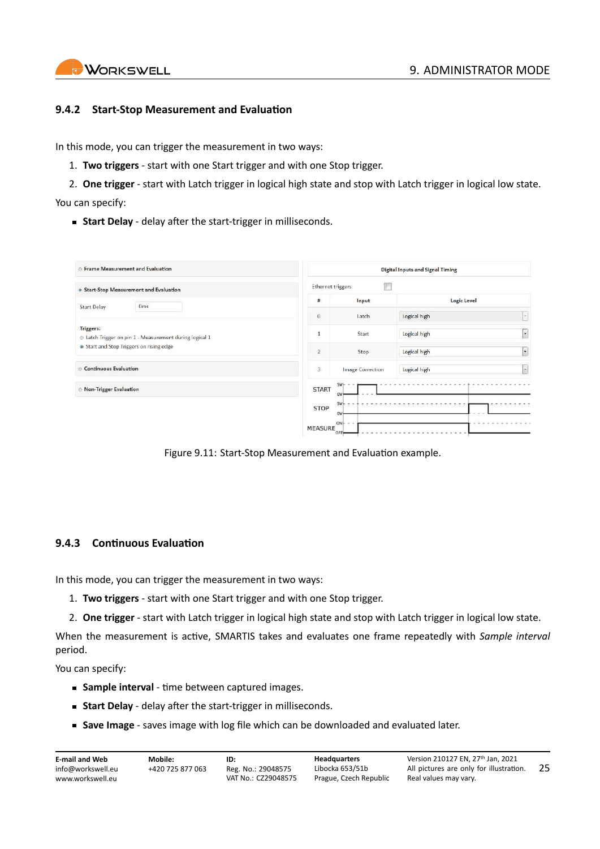#### <span id="page-25-0"></span>**9.4.2 Start‐Stop Measurement and Evaluation**

In this mode, you can trigger the measurement in two ways:

- 1. **Two triggers** ‐ start with one Start trigger and with one Stop trigger.
- 2. **One trigger** ‐ start with Latch trigger in logical high state and stop with Latch trigger in logical low state. You can specify:
	- **Start Delay** delay after the start-trigger in milliseconds.

| <b>Exame Measurement and Evaluation</b>                            |                | <b>Digital Inputs and Signal Timing</b> |              |        |  |  |
|--------------------------------------------------------------------|----------------|-----------------------------------------|--------------|--------|--|--|
| · Start-Stop Measurement and Evaluation                            |                | F<br>Ethernet triggers                  |              |        |  |  |
| 0 <sub>ms</sub><br><b>Start Delay</b>                              | #              | Input                                   | Logic Level  |        |  |  |
|                                                                    | $\sigma$       | Latch                                   | Logical high | $\sim$ |  |  |
| Triggers:<br>Latch Trigger on pin 1 - Measurement during logical 1 | $\,$ 1 $\,$    | Start                                   | Logical high | ×      |  |  |
| Start and Stop Triggers on rising edge                             | $\mathbf{Z}$   | Stop                                    | Logical high |        |  |  |
| Continuous Evaluation                                              | $\frac{1}{3}$  | Image Correction                        | Logical high | 5      |  |  |
| Mon-Trigger Evaluation                                             | <b>START</b>   | SV<br>0V                                |              |        |  |  |
|                                                                    | <b>STOP</b>    | $5V -$<br>OV                            |              |        |  |  |
|                                                                    | <b>MEASURE</b> | $ON - -$<br>OFF                         |              |        |  |  |

Figure 9.11: Start‐Stop Measurement and Evaluation example.

#### <span id="page-25-1"></span>**9.4.3 Continuous Evaluation**

In this mode, you can trigger the measurement in two ways:

- 1. **Two triggers** ‐ start with one Start trigger and with one Stop trigger.
- 2. **One trigger** ‐ start with Latch trigger in logical high state and stop with Latch trigger in logical low state.

When the measurement is active, SMARTIS takes and evaluates one frame repeatedly with *Sample interval* period.

You can specify:

- **Sample interval** ‐ time between captured images.
- **Start Delay** delay after the start-trigger in milliseconds.
- Save Image saves image with log file which can be downloaded and evaluated later.

| <b>E-mail and Web</b> | Mobile:          | ID:                 | <b>Headquarters</b>    | Version 210127 EN. 27th Jan. 2021       |     |
|-----------------------|------------------|---------------------|------------------------|-----------------------------------------|-----|
| info@workswell.eu     | +420 725 877 063 | Reg. No.: 29048575  | Libocka 653/51b        | All pictures are only for illustration. | -25 |
| www.workswell.eu      |                  | VAT No.: CZ29048575 | Prague, Czech Republic | Real values may vary.                   |     |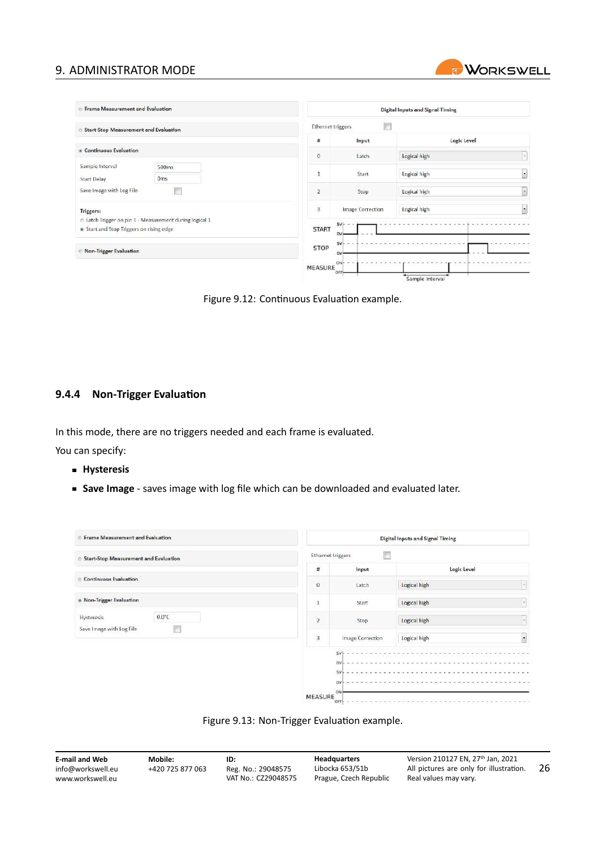#### 9. ADMINISTRATOR MODE

| <b><i><b>Exame Measurement and Evaluation</b></i></b>                                               |                   |                         | <b>Digital Inputs and Signal Timing</b> |    |
|-----------------------------------------------------------------------------------------------------|-------------------|-------------------------|-----------------------------------------|----|
| <b>Start-Stop Measurement and Evaluation</b>                                                        | Ethernet triggers | F                       |                                         |    |
|                                                                                                     | $\sharp$          | Input                   | Logic Level                             |    |
| Continuous Evaluation                                                                               | $\theta$          | Latch                   | Logical high                            | lм |
| Sample Interval<br>500ms<br>Oms<br><b>Start Delay</b>                                               | $\mathbf{1}$      | Start                   | Logical high                            | ×  |
| Save Image with Log File                                                                            | $\overline{2}$    | Stop                    | Logical high                            |    |
| Triggers:                                                                                           | $\overline{3}$    | <b>Image Correction</b> | Logical high                            | L. |
| E Latch Trigger on pin 1 - Measurement during logical 1<br>. Start and Stop Triggers on rising edge | <b>START</b>      | 5V<br>OV                |                                         |    |
| Non-Trigger Evaluation                                                                              | STOP              | 5V<br>ov                |                                         |    |
|                                                                                                     | <b>MEASURE</b>    | $ONF -$<br>OFF          |                                         |    |

**WORKSWELL** 

Sample Interval

Figure 9.12: Continuous Evaluation example.

#### <span id="page-26-0"></span>**9.4.4 Non‐Trigger Evaluation**

In this mode, there are no triggers needed and each frame is evaluated.

You can specify:

- **Hysteresis**
- **Save Image** ‐ saves image with log file which can be downloaded and evaluated later.

| <b>Exame Measurement and Evaluation</b>           |                | <b>Digital Inputs and Signal Timing</b>   |                        |  |
|---------------------------------------------------|----------------|-------------------------------------------|------------------------|--|
| <b>Start-Stop Measurement and Evaluation</b><br>6 |                | m<br><b>Ethernet triggers</b>             |                        |  |
|                                                   | #              | Input                                     | Logic Level            |  |
| <b>Continuous Evaluation</b><br>e                 | $\mathbf{0}$   | Latch                                     | H<br>Logical high      |  |
| . Non-Trigger Evaluation                          | Ŧ.             | Start                                     | Logical high<br>i se i |  |
| $0.0^{\circ}$ C<br>Hysteresis                     | $\overline{2}$ | Stop                                      | u<br>Logical high      |  |
| Save Image with Log File                          | 3              | Image Correction                          | ٠<br>Logical high      |  |
|                                                   | <b>MEASURE</b> | 5VF<br>.<br>ov)<br>5V<br>ovi<br>ON<br>OFF |                        |  |



| <b>E-mail and Web</b> | Mobile:          | ID:                 | <b>Headquarters</b>    | Version 210127 EN. 27th Jan. 2021       |    |
|-----------------------|------------------|---------------------|------------------------|-----------------------------------------|----|
| info@workswell.eu     | +420 725 877 063 | Reg. No.: 29048575  | Libocka 653/51b        | All pictures are only for illustration. | 26 |
| www.workswell.eu      |                  | VAT No.: CZ29048575 | Prague, Czech Republic | Real values may vary.                   |    |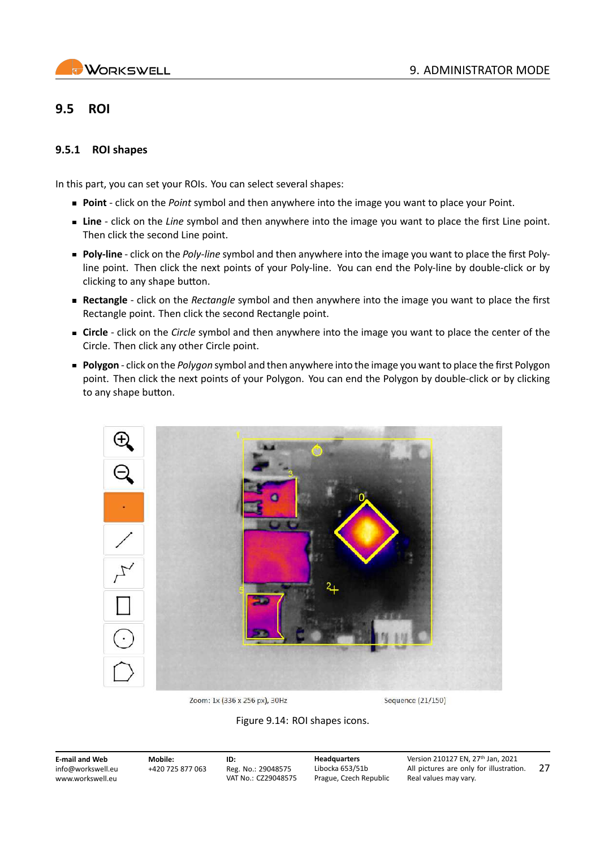## <span id="page-27-0"></span>**9.5 ROI**

#### <span id="page-27-1"></span>**9.5.1 ROI shapes**

In this part, you can set your ROIs. You can select several shapes:

- **Point** ‐ click on the *Point* symbol and then anywhere into the image you want to place your Point.
- **Line** ‐ click on the *Line* symbol and then anywhere into the image you want to place the first Line point. Then click the second Line point.
- **Poly-line** click on the *Poly-line* symbol and then anywhere into the image you want to place the first Polyline point. Then click the next points of your Poly‐line. You can end the Poly‐line by double‐click or by clicking to any shape button.
- **Rectangle** ‐ click on the *Rectangle* symbol and then anywhere into the image you want to place the first Rectangle point. Then click the second Rectangle point.
- **Circle** ‐ click on the *Circle* symbol and then anywhere into the image you want to place the center of the Circle. Then click any other Circle point.
- **Polygon** ‐ click on the *Polygon* symbol and then anywhere into the image you want to place the first Polygon point. Then click the next points of your Polygon. You can end the Polygon by double‐click or by clicking to any shape button.



Zoom: 1x (336 x 256 px), 30Hz

Sequence (21/150)

Figure 9.14: ROI shapes icons.

**E‐mail and Web** info@workswell.eu <www.workswell.eu>

**Mobile:** +420 725 877 063 **ID:** Reg. No.: 29048575 VAT No.: CZ29048575 **Headquarters** Libocka 653/51b Prague, Czech Republic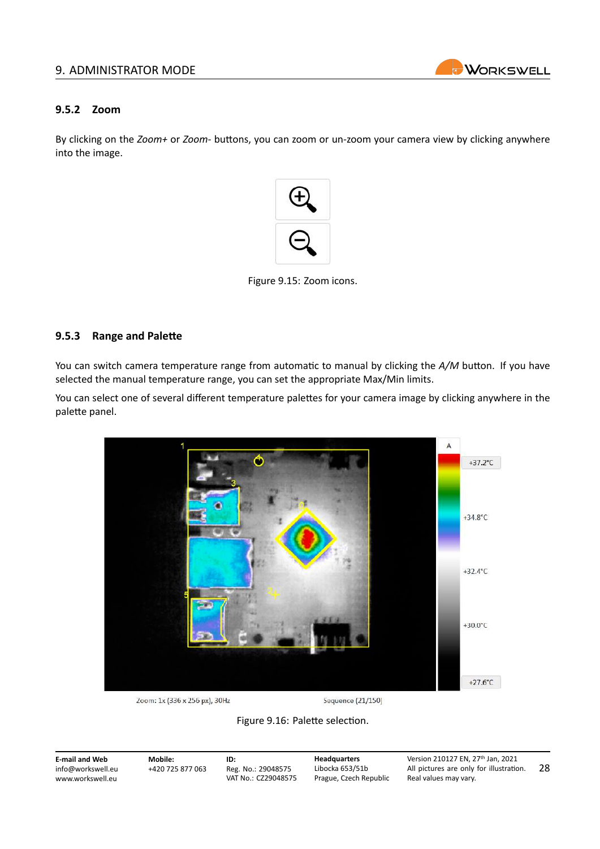#### 9. ADMINISTRATOR MODE



#### <span id="page-28-0"></span>**9.5.2 Zoom**

By clicking on the *Zoom+* or *Zoom‐* buttons, you can zoom or un‐zoom your camera view by clicking anywhere into the image.



Figure 9.15: Zoom icons.

#### <span id="page-28-1"></span>**9.5.3 Range and Palette**

You can switch camera temperature range from automatic to manual by clicking the *A/M* button. If you have selected the manual temperature range, you can set the appropriate Max/Min limits.

You can select one of several different temperature palettes for your camera image by clicking anywhere in the palette panel.



Zoom: 1x (336 x 256 px), 30Hz

Sequence (21/150)



**E‐mail and Web** info@workswell.eu <www.workswell.eu> **Mobile:** +420 725 877 063 **ID:** Reg. No.: 29048575 VAT No.: CZ29048575 **Headquarters** Libocka 653/51b Prague, Czech Republic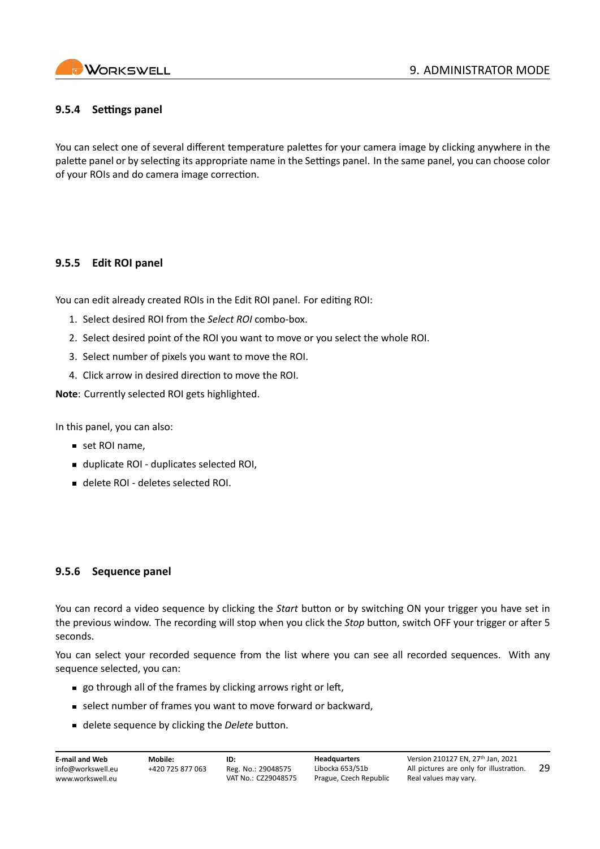

#### <span id="page-29-0"></span>**9.5.4 Settings panel**

You can select one of several different temperature palettes for your camera image by clicking anywhere in the palette panel or by selecting its appropriate name in the Settings panel. In the same panel, you can choose color of your ROIs and do camera image correction.

#### <span id="page-29-1"></span>**9.5.5 Edit ROI panel**

You can edit already created ROIs in the Edit ROI panel. For editing ROI:

- 1. Select desired ROI from the *Select ROI* combo‐box.
- 2. Select desired point of the ROI you want to move or you select the whole ROI.
- 3. Select number of pixels you want to move the ROI.
- 4. Click arrow in desired direction to move the ROI.

**Note**: Currently selected ROI gets highlighted.

In this panel, you can also:

- set ROI name,
- duplicate ROI duplicates selected ROI,
- delete ROI deletes selected ROI.

#### <span id="page-29-2"></span>**9.5.6 Sequence panel**

You can record a video sequence by clicking the *Start* button or by switching ON your trigger you have set in the previous window. The recording will stop when you click the *Stop* button, switch OFF your trigger or after 5 seconds.

You can select your recorded sequence from the list where you can see all recorded sequences. With any sequence selected, you can:

- go through all of the frames by clicking arrows right or left,
- select number of frames you want to move forward or backward,
- delete sequence by clicking the *Delete* button.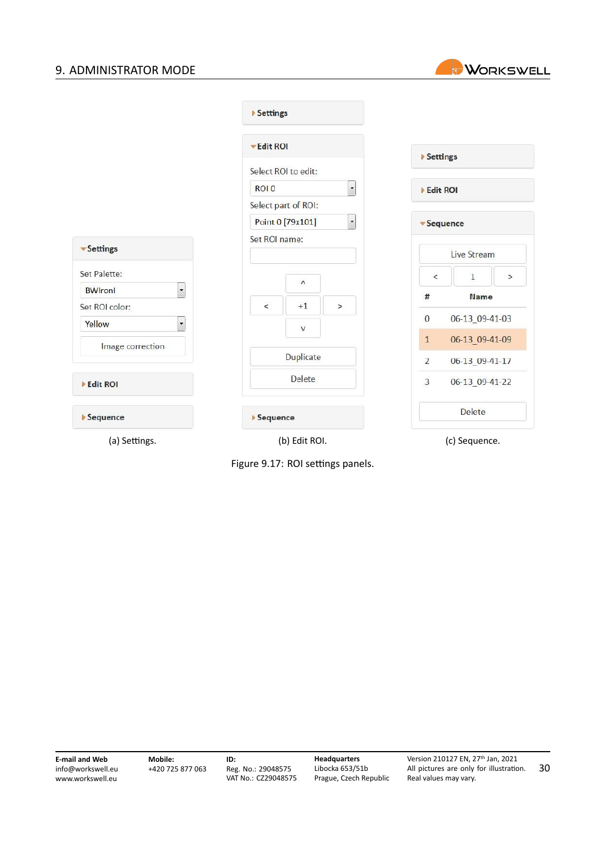### 9. ADMINISTRATOR MODE



|                                            | Settings            |               |                          |                 |                |        |
|--------------------------------------------|---------------------|---------------|--------------------------|-----------------|----------------|--------|
|                                            | Edit ROI            |               |                          |                 |                |        |
|                                            | Select ROI to edit: |               |                          | ▶ Settings      |                |        |
|                                            | ROI 0               |               | $\overline{\phantom{a}}$ | Edit ROI        |                |        |
|                                            | Select part of ROI: |               |                          |                 |                |        |
|                                            | Point 0 [79x101]    |               | $\overline{\phantom{a}}$ | <b>Sequence</b> |                |        |
| • Settings                                 |                     | Set ROI name: |                          |                 | Live Stream    |        |
| Set Palette:                               |                     | $\Lambda$     |                          | $\,<$           | $\mathbf{1}$   | $\geq$ |
| $\overline{\phantom{0}}$<br><b>BW</b> ronl |                     |               |                          | #               | Name           |        |
| Set ROI color:                             | $\,<$               | $+1$          | $\geq$                   |                 |                |        |
| $\ddot{\phantom{0}}$<br>Yellow             |                     | $\mathsf{V}$  |                          | $\mathbf{0}$    | 06-13_09-41-03 |        |
| Image correction                           |                     |               |                          | $\mathbf{1}$    | 06-13_09-41-09 |        |
|                                            |                     | Duplicate     |                          | $\overline{2}$  | 06-13_09-41-17 |        |
| Edit ROI                                   |                     | Delete        |                          | $\overline{3}$  | 06-13_09-41-22 |        |
| Sequence                                   | Sequence            |               |                          |                 | Delete         |        |
| (a) Settings.                              |                     | (b) Edit ROI. |                          |                 | (c) Sequence.  |        |

Figure 9.17: ROI settings panels.

**E‐mail and Web** info@workswell.eu <www.workswell.eu>

**Headquarters** Libocka 653/51b Prague, Czech Republic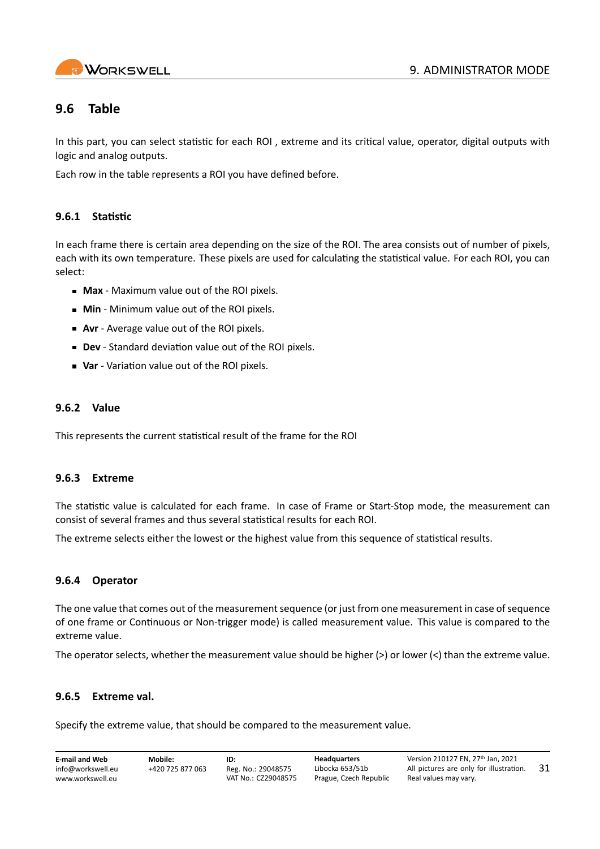

## <span id="page-31-0"></span>**9.6 Table**

In this part, you can select statistic for each ROI , extreme and its critical value, operator, digital outputs with logic and analog outputs.

Each row in the table represents a ROI you have defined before.

#### <span id="page-31-1"></span>**9.6.1 Statistic**

In each frame there is certain area depending on the size of the ROI. The area consists out of number of pixels, each with its own temperature. These pixels are used for calculating the statistical value. For each ROI, you can select:

- **Max** ‐ Maximum value out of the ROI pixels.
- **Min** Minimum value out of the ROI pixels.
- **Avr** Average value out of the ROI pixels.
- **Dev** ‐ Standard deviation value out of the ROI pixels.
- **Var** ‐ Variation value out of the ROI pixels.

#### <span id="page-31-2"></span>**9.6.2 Value**

This represents the current statistical result of the frame for the ROI

#### <span id="page-31-3"></span>**9.6.3 Extreme**

The statistic value is calculated for each frame. In case of Frame or Start‐Stop mode, the measurement can consist of several frames and thus several statistical results for each ROI.

The extreme selects either the lowest or the highest value from this sequence of statistical results.

#### <span id="page-31-4"></span>**9.6.4 Operator**

The one value that comes out of the measurement sequence (or just from one measurement in case of sequence of one frame or Continuous or Non-trigger mode) is called measurement value. This value is compared to the extreme value.

The operator selects, whether the measurement value should be higher (>) or lower (<) than the extreme value.

#### <span id="page-31-5"></span>**9.6.5 Extreme val.**

Specify the extreme value, that should be compared to the measurement value.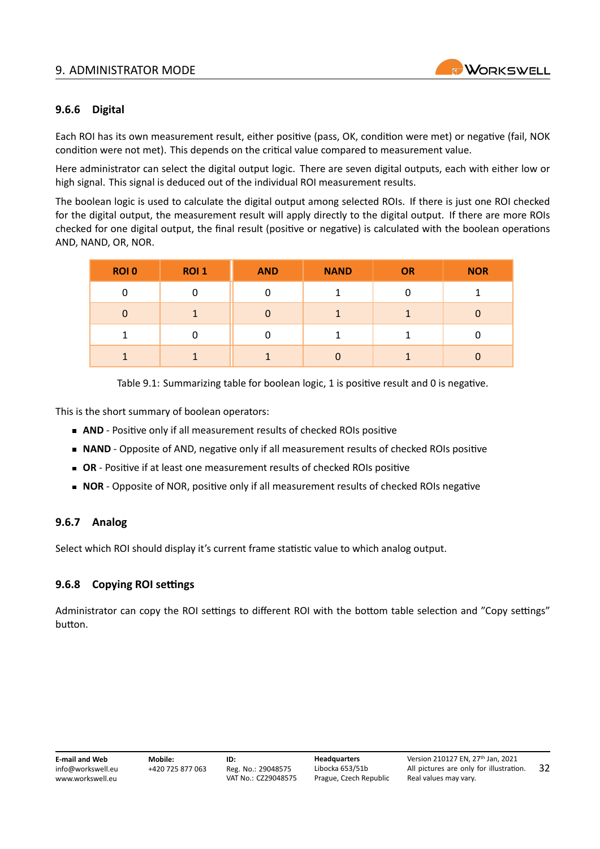#### 9. ADMINISTRATOR MODE



#### <span id="page-32-0"></span>**9.6.6 Digital**

Each ROI has its own measurement result, either positive (pass, OK, condition were met) or negative (fail, NOK condition were not met). This depends on the critical value compared to measurement value.

Here administrator can select the digital output logic. There are seven digital outputs, each with either low or high signal. This signal is deduced out of the individual ROI measurement results.

The boolean logic is used to calculate the digital output among selected ROIs. If there is just one ROI checked for the digital output, the measurement result will apply directly to the digital output. If there are more ROIs checked for one digital output, the final result (positive or negative) is calculated with the boolean operations AND, NAND, OR, NOR.

| <b>ROIO</b> | ROI <sub>1</sub> | <b>AND</b> | <b>NAND</b> | <b>OR</b> | <b>NOR</b> |
|-------------|------------------|------------|-------------|-----------|------------|
| 0           | 0                | 0          |             |           |            |
| 0           |                  | $\Omega$   |             |           | 0          |
|             | 0                | 0          |             |           |            |
|             |                  |            | n           |           |            |

Table 9.1: Summarizing table for boolean logic, 1 is positive result and 0 is negative.

This is the short summary of boolean operators:

- **AND** Positive only if all measurement results of checked ROIs positive
- **NAND** Opposite of AND, negative only if all measurement results of checked ROIs positive
- OR Positive if at least one measurement results of checked ROIs positive
- **NOR** Opposite of NOR, positive only if all measurement results of checked ROIs negative

#### <span id="page-32-1"></span>**9.6.7 Analog**

Select which ROI should display it's current frame statistic value to which analog output.

#### <span id="page-32-2"></span>**9.6.8 Copying ROI settings**

Administrator can copy the ROI settings to different ROI with the bottom table selection and "Copy settings" button.

| E-mail and Web    | Mo    |
|-------------------|-------|
| info@workswell.eu | $+42$ |
| www.workswell.eu  |       |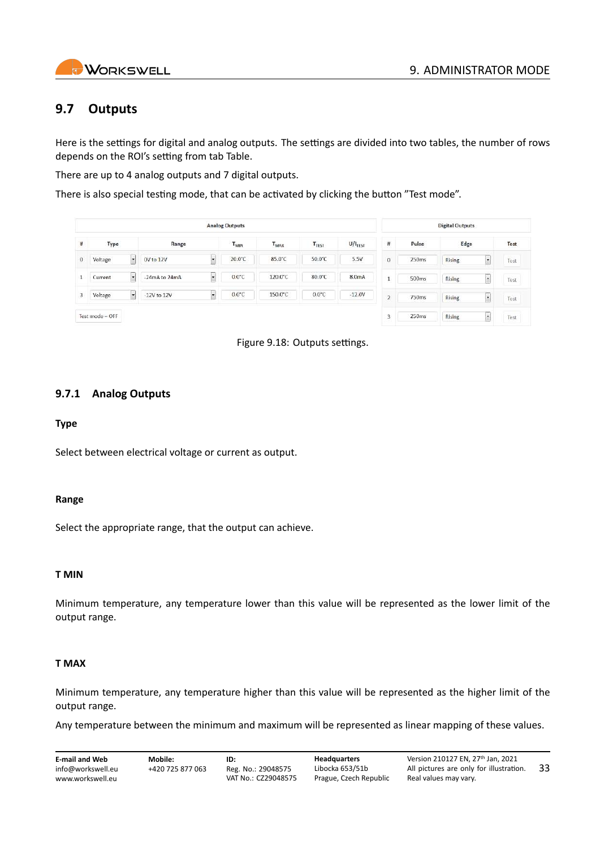

## <span id="page-33-0"></span>**9.7 Outputs**

Here is the settings for digital and analog outputs. The settings are divided into two tables, the number of rows depends on the ROI's setting from tab Table.

There are up to 4 analog outputs and 7 digital outputs.

There is also special testing mode, that can be activated by clicking the button "Test mode".

|          | <b>Analog Outputs</b> |                                             |                          |           |                   |                       |                |       | <b>Digital Outputs</b>                    |      |
|----------|-----------------------|---------------------------------------------|--------------------------|-----------|-------------------|-----------------------|----------------|-------|-------------------------------------------|------|
| #        | Type                  | Range                                       | T <sub>MIN</sub>         | $T_{MAX}$ | T <sub>TEST</sub> | $U/I$ <sub>TEST</sub> | $\sharp$       | Pulse | Edge                                      | Test |
| $\theta$ | Voltage<br>H.         | 0V to 12V<br>×.                             | 20.0°C                   | 85.0°C    | 50.0°C            | 5.5V                  | $\sigma$       | 250ms | <b>Rising</b><br>$\overline{\phantom{a}}$ | Test |
|          | Current<br>w.         | $-24mA$ to $24mA$<br>×                      | $0.0^{\circ}$ C          | 120.0°C   | 80.0°C            | 8.0 <sub>m</sub> A    | ٠<br>л         | 500ms | <b>Rising</b><br>Ľ                        | Test |
| 3        | Voltage<br>$\sim$     | $-12V$ to $12V$<br>$\overline{\phantom{a}}$ | $0.0^{\circ}$ C<br>95259 | 150.0°C   | $0.0^{\circ}$ C   | $-12.0V$              | $\overline{2}$ | 750ms | $\overline{\phantom{a}}$<br><b>Rising</b> | Test |
|          | Test mode = OFF       |                                             |                          |           |                   |                       | 3              | 250ms | <b>Rising</b><br>l s                      | Test |



### <span id="page-33-1"></span>**9.7.1 Analog Outputs**

#### **Type**

Select between electrical voltage or current as output.

#### **Range**

Select the appropriate range, that the output can achieve.

#### **T MIN**

Minimum temperature, any temperature lower than this value will be represented as the lower limit of the output range.

#### **T MAX**

Minimum temperature, any temperature higher than this value will be represented as the higher limit of the output range.

Any temperature between the minimum and maximum will be represented as linear mapping of these values.

| E-mail and Web                        | Mobile:          | ID:                                       | <b>Headquarters</b>                       | Version 210127 EN. 27th Jan. 2021                                |     |
|---------------------------------------|------------------|-------------------------------------------|-------------------------------------------|------------------------------------------------------------------|-----|
| info@workswell.eu<br>www.workswell.eu | +420 725 877 063 | Reg. No.: 29048575<br>VAT No.: CZ29048575 | Libocka 653/51b<br>Prague, Czech Republic | All pictures are only for illustration.<br>Real values may vary. | -33 |
|                                       |                  |                                           |                                           |                                                                  |     |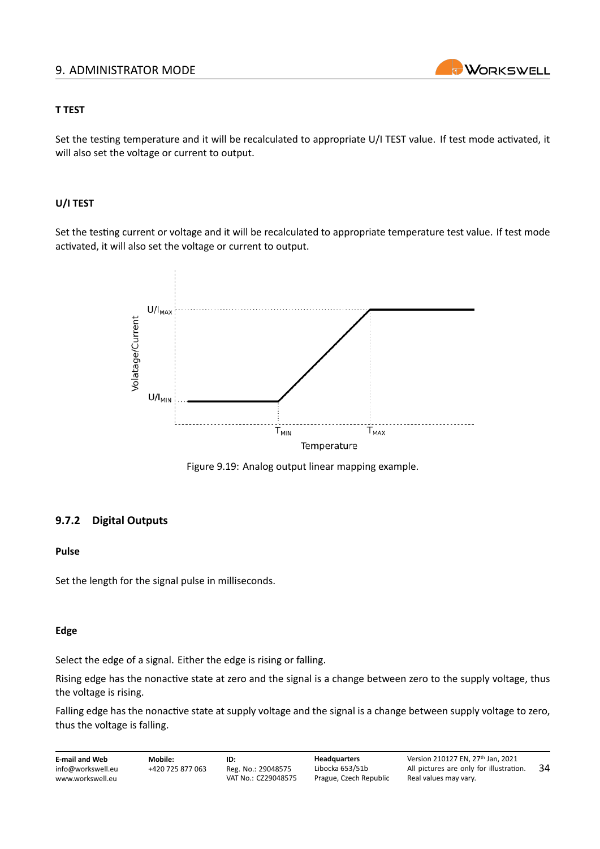#### 9. ADMINISTRATOR MODE



#### **T TEST**

Set the testing temperature and it will be recalculated to appropriate U/I TEST value. If test mode activated, it will also set the voltage or current to output.

#### **U/I TEST**

Set the testing current or voltage and it will be recalculated to appropriate temperature test value. If test mode activated, it will also set the voltage or current to output.



Figure 9.19: Analog output linear mapping example.

#### <span id="page-34-0"></span>**9.7.2 Digital Outputs**

#### **Pulse**

Set the length for the signal pulse in milliseconds.

#### **Edge**

Select the edge of a signal. Either the edge is rising or falling.

Rising edge has the nonactive state at zero and the signal is a change between zero to the supply voltage, thus the voltage is rising.

Falling edge has the nonactive state at supply voltage and the signal is a change between supply voltage to zero, thus the voltage is falling.

**E‐mail and Web** info@workswell.eu <www.workswell.eu> **Mobile:** +420 725 877 063 **ID:** Reg. No.: 29048575 VAT No.: CZ29048575 **Headquarters** Libocka 653/51b Prague, Czech Republic Version 210127 EN, 27th Jan, 2021 All pictures are only for illustration. Real values may vary. 34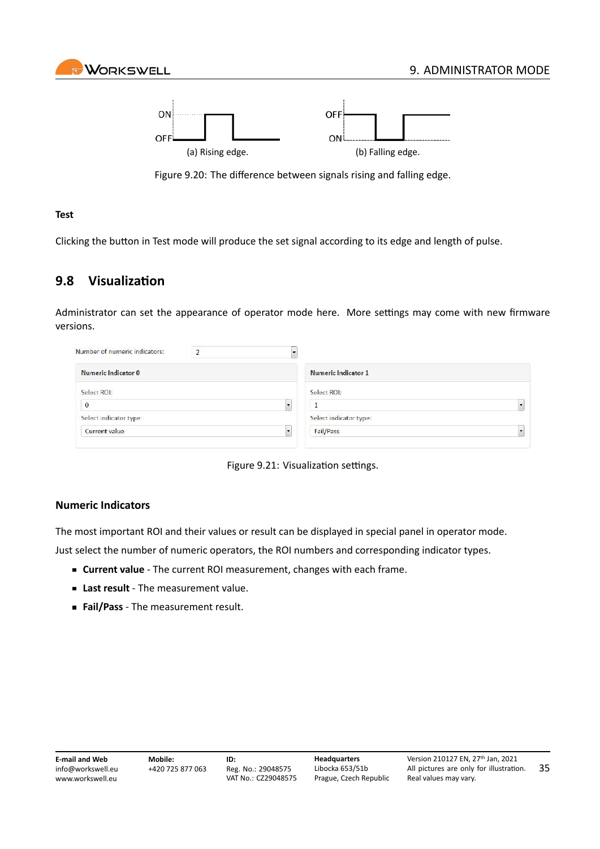



Figure 9.20: The difference between signals rising and falling edge.

#### **Test**

Clicking the button in Test mode will produce the set signal according to its edge and length of pulse.

## <span id="page-35-0"></span>**9.8 Visualization**

Administrator can set the appearance of operator mode here. More settings may come with new firmware versions.

| Number of numeric indicators: |                        |  |
|-------------------------------|------------------------|--|
| Numeric Indicator 0           | Numeric Indicator 1    |  |
| Select ROI:                   | Select ROI:            |  |
| $\mathbf{0}$                  |                        |  |
| Select indicator type:        | Select indicator type: |  |
| <b>Current value</b>          | Fail/Pass              |  |
|                               |                        |  |



#### **Numeric Indicators**

The most important ROI and their values or result can be displayed in special panel in operator mode.

Just select the number of numeric operators, the ROI numbers and corresponding indicator types.

- **Current value** ‐ The current ROI measurement, changes with each frame.
- **Last result** ‐ The measurement value.
- **Fail/Pass** ‐ The measurement result.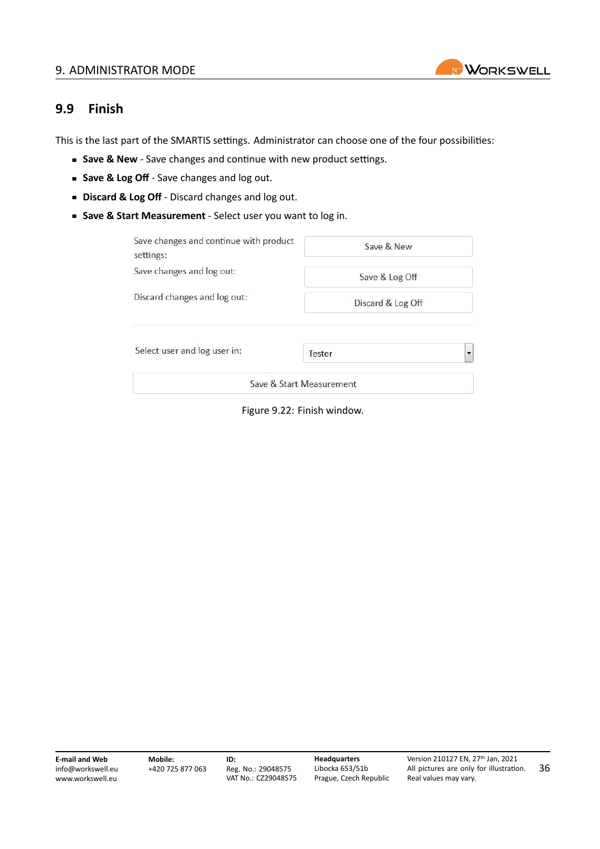#### 9. ADMINISTRATOR MODE



### <span id="page-36-0"></span>**9.9 Finish**

This is the last part of the SMARTIS settings. Administrator can choose one of the four possibilities:

- **Save & New** Save changes and continue with new product settings.
- **Save & Log Off** Save changes and log out.
- **Discard & Log Off** Discard changes and log out.
- Save & Start Measurement Select user you want to log in.

| Save changes and continue with product<br>settings: | Save & New               |  |  |
|-----------------------------------------------------|--------------------------|--|--|
| Save changes and log out:                           | Save & Log Off           |  |  |
| Discard changes and log out:                        | Discard & Log Off        |  |  |
| Select user and log user in:                        | Tester                   |  |  |
|                                                     | Save & Start Measurement |  |  |

Figure 9.22: Finish window.

**E‐mail and Web** info@workswell.eu <www.workswell.eu>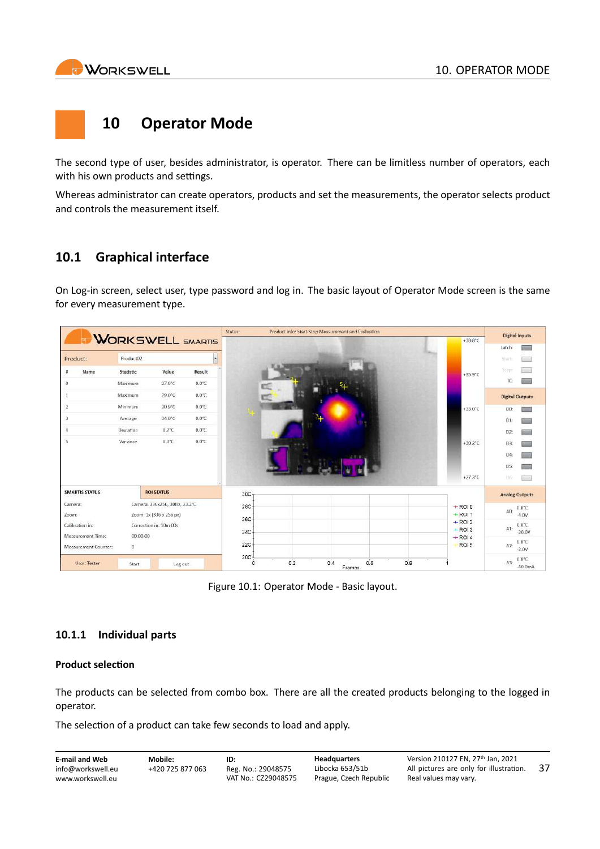<span id="page-37-0"></span>

## **10 Operator Mode**

The second type of user, besides administrator, is operator. There can be limitless number of operators, each with his own products and settings.

Whereas administrator can create operators, products and set the measurements, the operator selects product and controls the measurement itself.

## <span id="page-37-1"></span>**10.1 Graphical interface**

On Log-in screen, select user, type password and log in. The basic layout of Operator Mode screen is the same for every measurement type.



Figure 10.1: Operator Mode ‐ Basic layout.

### <span id="page-37-2"></span>**10.1.1 Individual parts**

#### **Product selection**

The products can be selected from combo box. There are all the created products belonging to the logged in operator.

The selection of a product can take few seconds to load and apply.

| <b>E-mail and Web</b> | Mobile:          | ID:                 | <b>Headquarters</b>    | Version 210127 EN, 27th Jan, 2021       |     |
|-----------------------|------------------|---------------------|------------------------|-----------------------------------------|-----|
| info@workswell.eu     | +420 725 877 063 | Reg. No.: 29048575  | Libocka 653/51b        | All pictures are only for illustration. | -37 |
| www.workswell.eu      |                  | VAT No.: CZ29048575 | Prague, Czech Republic | Real values may vary.                   |     |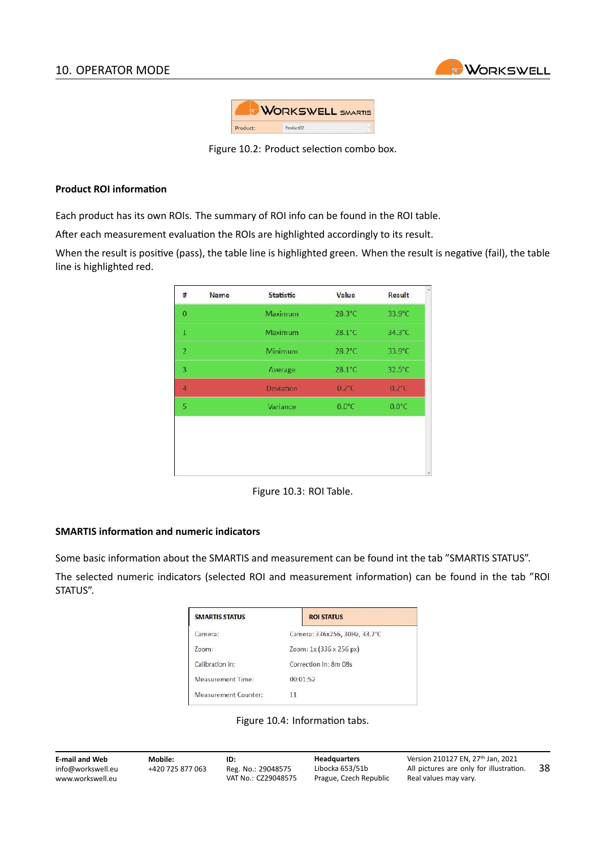

|          | <b>WORKSWELL SMARTIS</b> |  |
|----------|--------------------------|--|
| Product: | Product02                |  |

Figure 10.2: Product selection combo box.

#### **Product ROI information**

Each product has its own ROIs. The summary of ROI info can be found in the ROI table.

After each measurement evaluation the ROIs are highlighted accordingly to its result.

When the result is positive (pass), the table line is highlighted green. When the result is negative (fail), the table line is highlighted red.

| #                       | Name | <b>Statistic</b> | Value           | Result          | × |
|-------------------------|------|------------------|-----------------|-----------------|---|
| $\bf{0}$                |      | Maximum          | 28.3°C          | 33.9°C          |   |
| $\,$ 1 $\,$             |      | Maximum          | 28.1°C          | 34.3°C          |   |
| $\overline{\mathbf{r}}$ |      | Minimum          | 28.2°C          | 33.9°C          |   |
| 3                       |      | Average          | 28.1°C          | 32.5°C          |   |
| $\overline{4}$          |      | <b>Deviation</b> | $0.2^{\circ}$ C | $0.2^{\circ}$ C |   |
| 5                       |      | Variance         | $0.0^{\circ}$ C | $0.0^{\circ}$ C |   |
|                         |      |                  |                 |                 |   |
|                         |      |                  |                 |                 |   |
|                         |      |                  |                 |                 |   |
|                         |      |                  |                 |                 |   |

Figure 10.3: ROI Table.

#### **SMARTIS information and numeric indicators**

Some basic information about the SMARTIS and measurement can be found int the tab "SMARTIS STATUS".

The selected numeric indicators (selected ROI and measurement information) can be found in the tab "ROI STATUS".

| <b>SMARTIS STATUS</b> | <b>ROI STATUS</b>             |  |  |
|-----------------------|-------------------------------|--|--|
| Camera:               | Camera: 336x256, 30Hz, 33.2°C |  |  |
| Zoom:                 | Zoom: 1x (336 x 256 px)       |  |  |
| Calibration in:       | Correction in: 8m 08s         |  |  |
| Measurement Time:     | 00:01:52                      |  |  |
| Measurement Counter:  |                               |  |  |

Figure 10.4: Information tabs.

| <b>E-mail and Web</b> | Mobile:          | ID:                 | <b>Headquarters</b>    | Version 210127 EN, 27 <sup>th</sup> Jan, 2021 |     |
|-----------------------|------------------|---------------------|------------------------|-----------------------------------------------|-----|
| info@workswell.eu     | +420 725 877 063 | Reg. No.: 29048575  | Libocka 653/51b        | All pictures are only for illustration.       | -38 |
| www.workswell.eu      |                  | VAT No.: CZ29048575 | Prague, Czech Republic | Real values may vary.                         |     |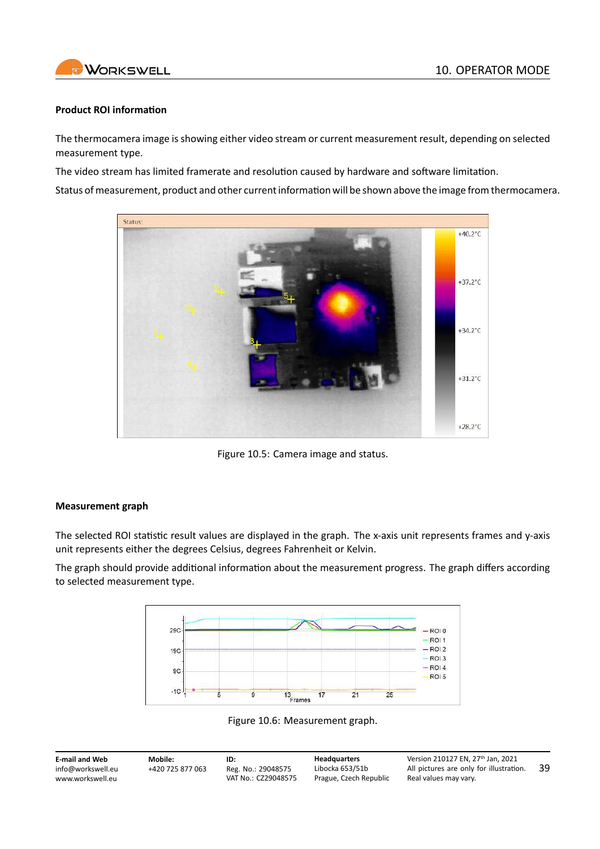

#### **Product ROI information**

The thermocamera image is showing either video stream or current measurement result, depending on selected measurement type.

The video stream has limited framerate and resolution caused by hardware and software limitation.

Status of measurement, product and other current information will be shown above the image from thermocamera.



Figure 10.5: Camera image and status.

#### **Measurement graph**

The selected ROI statistic result values are displayed in the graph. The x-axis unit represents frames and y-axis unit represents either the degrees Celsius, degrees Fahrenheit or Kelvin.

The graph should provide additional information about the measurement progress. The graph differs according to selected measurement type.





**E‐mail and Web** info@workswell.eu <www.workswell.eu> **Mobile:** +420 725 877 063 **ID:** Reg. No.: 29048575 VAT No.: CZ29048575 **Headquarters** Libocka 653/51b Prague, Czech Republic Version 210127 EN, 27th Jan, 2021 All pictures are only for illustration. Real values may vary. 39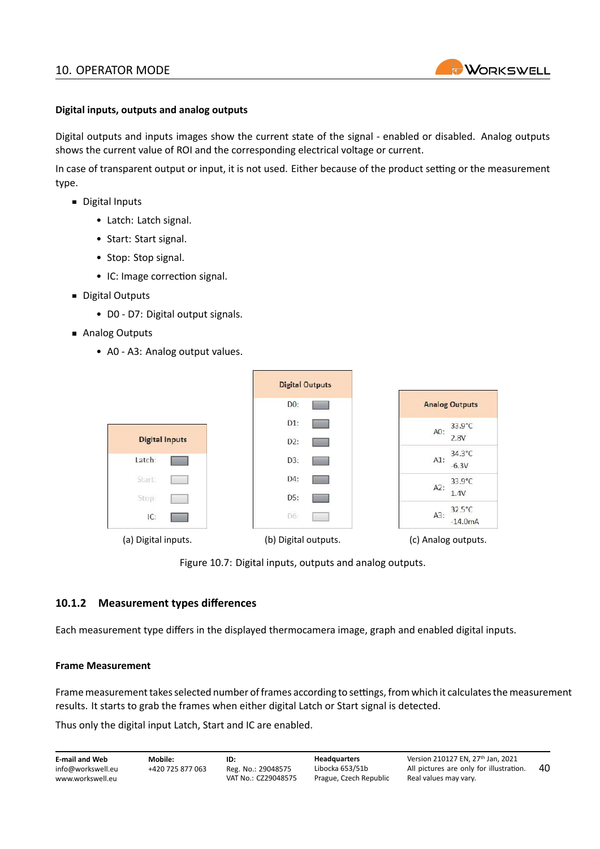

#### **Digital inputs, outputs and analog outputs**

Digital outputs and inputs images show the current state of the signal ‐ enabled or disabled. Analog outputs shows the current value of ROI and the corresponding electrical voltage or current.

In case of transparent output or input, it is not used. Either because of the product setting or the measurement type.

- Digital Inputs
	- Latch: Latch signal.
	- Start: Start signal.
	- Stop: Stop signal.
	- IC: Image correction signal.
- **Digital Outputs** 
	- D0 ‐ D7: Digital output signals.
- Analog Outputs
	- A0 ‐ A3: Analog output values.

|                       | <b>Digital Outputs</b> |                                       |
|-----------------------|------------------------|---------------------------------------|
|                       | DO:                    | <b>Analog Outputs</b>                 |
| <b>Digital Inputs</b> | D1:<br>D2:             | $33.9^{\circ}C$<br>A0:<br>2.8V        |
| Latch:                | D3:                    | $34.3^{\circ}$ C<br>$A1$ :<br>$-6.3V$ |
| Start:                | D4:<br>D5:             | 33.9°C<br>A2:<br>1.4V                 |
| Stop:<br>IC:          | D6:                    | $32.5^{\circ}$ C<br>A3:<br>$-14.0mA$  |
| (a) Digital inputs.   | (b) Digital outputs.   | (c) Analog outputs.                   |

Figure 10.7: Digital inputs, outputs and analog outputs.

#### <span id="page-40-0"></span>**10.1.2 Measurement types differences**

Each measurement type differs in the displayed thermocamera image, graph and enabled digital inputs.

#### **Frame Measurement**

Frame measurement takes selected number of frames according to settings, from which it calculates the measurement results. It starts to grab the frames when either digital Latch or Start signal is detected.

Thus only the digital input Latch, Start and IC are enabled.

| <b>E-mail and Web</b> | Mobile:          | ID:                 | <b>Headquarters</b>    | Version 210127 EN. 27th Jan. 2021       |    |
|-----------------------|------------------|---------------------|------------------------|-----------------------------------------|----|
| info@workswell.eu     | +420 725 877 063 | Reg. No.: 29048575  | Libocka 653/51b        | All pictures are only for illustration. | 40 |
| www.workswell.eu      |                  | VAT No.: CZ29048575 | Prague, Czech Republic | Real values may vary.                   |    |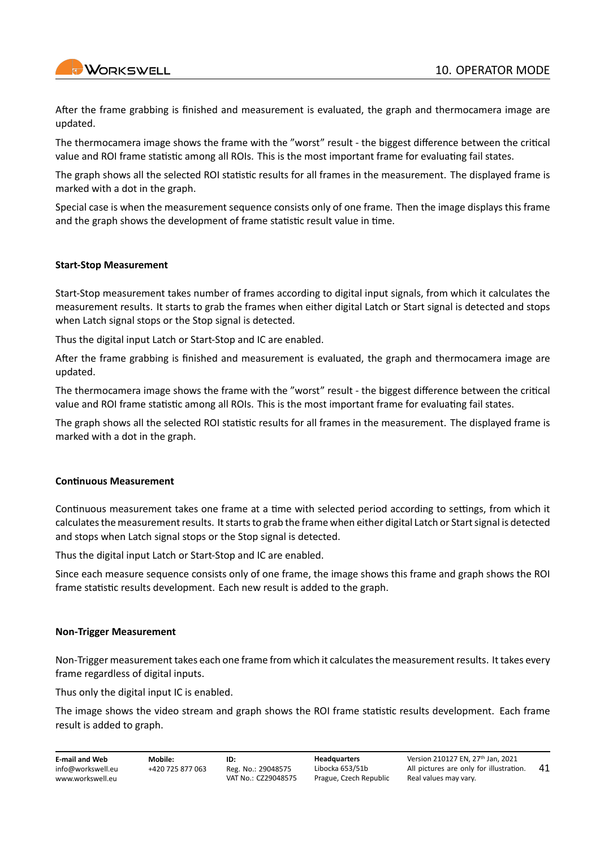

After the frame grabbing is finished and measurement is evaluated, the graph and thermocamera image are updated.

The thermocamera image shows the frame with the "worst" result ‐ the biggest difference between the critical value and ROI frame statistic among all ROIs. This is the most important frame for evaluating fail states.

The graph shows all the selected ROI statistic results for all frames in the measurement. The displayed frame is marked with a dot in the graph.

Special case is when the measurement sequence consists only of one frame. Then the image displays this frame and the graph shows the development of frame statistic result value in time.

#### **Start‐Stop Measurement**

Start‐Stop measurement takes number of frames according to digital input signals, from which it calculates the measurement results. It starts to grab the frames when either digital Latch or Start signal is detected and stops when Latch signal stops or the Stop signal is detected.

Thus the digital input Latch or Start‐Stop and IC are enabled.

After the frame grabbing is finished and measurement is evaluated, the graph and thermocamera image are updated.

The thermocamera image shows the frame with the "worst" result ‐ the biggest difference between the critical value and ROI frame statistic among all ROIs. This is the most important frame for evaluating fail states.

The graph shows all the selected ROI statistic results for all frames in the measurement. The displayed frame is marked with a dot in the graph.

#### **Continuous Measurement**

Continuous measurement takes one frame at a time with selected period according to settings, from which it calculates the measurement results. It starts to grab the frame when either digital Latch or Start signal is detected and stops when Latch signal stops or the Stop signal is detected.

Thus the digital input Latch or Start‐Stop and IC are enabled.

Since each measure sequence consists only of one frame, the image shows this frame and graph shows the ROI frame statistic results development. Each new result is added to the graph.

#### **Non‐Trigger Measurement**

Non‐Trigger measurement takes each one frame from which it calculates the measurement results. It takes every frame regardless of digital inputs.

Thus only the digital input IC is enabled.

The image shows the video stream and graph shows the ROI frame statistic results development. Each frame result is added to graph.

**E‐mail and Web** info@workswell.eu <www.workswell.eu>

**ID:** Reg. No.: 29048575 VAT No.: CZ29048575 **Headquarters** Libocka 653/51b Prague, Czech Republic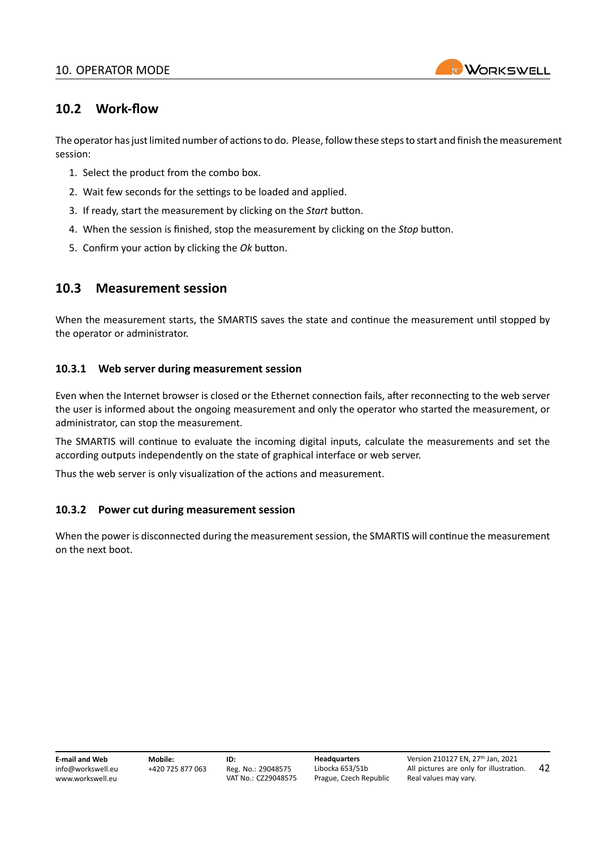

42

## <span id="page-42-0"></span>**10.2 Work‐flow**

The operator has just limited number of actions to do. Please, follow these steps to start and finish the measurement session:

- 1. Select the product from the combo box.
- 2. Wait few seconds for the settings to be loaded and applied.
- 3. If ready, start the measurement by clicking on the *Start* button.
- 4. When the session is finished, stop the measurement by clicking on the *Stop* button.
- 5. Confirm your action by clicking the *Ok* button.

### <span id="page-42-1"></span>**10.3 Measurement session**

When the measurement starts, the SMARTIS saves the state and continue the measurement until stopped by the operator or administrator.

#### <span id="page-42-2"></span>**10.3.1 Web server during measurement session**

Even when the Internet browser is closed or the Ethernet connection fails, after reconnecting to the web server the user is informed about the ongoing measurement and only the operator who started the measurement, or administrator, can stop the measurement.

The SMARTIS will continue to evaluate the incoming digital inputs, calculate the measurements and set the according outputs independently on the state of graphical interface or web server.

Thus the web server is only visualization of the actions and measurement.

#### <span id="page-42-3"></span>**10.3.2 Power cut during measurement session**

When the power is disconnected during the measurement session, the SMARTIS will continue the measurement on the next boot.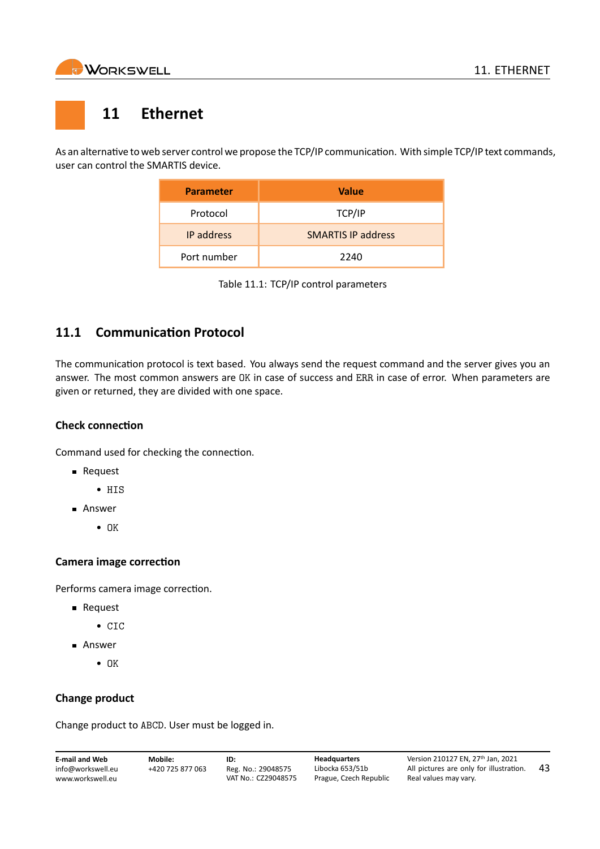<span id="page-43-0"></span>

## **11 Ethernet**

As an alternative to web server control we propose the TCP/IP communication. With simple TCP/IP text commands, user can control the SMARTIS device.

| <b>Parameter</b>  | <b>Value</b>              |
|-------------------|---------------------------|
| Protocol          | TCP/IP                    |
| <b>IP</b> address | <b>SMARTIS IP address</b> |
| Port number       | 2240                      |

Table 11.1: TCP/IP control parameters

## <span id="page-43-1"></span>**11.1 Communication Protocol**

The communication protocol is text based. You always send the request command and the server gives you an answer. The most common answers are OK in case of success and ERR in case of error. When parameters are given or returned, they are divided with one space.

#### **Check connection**

Command used for checking the connection.

- **Request** 
	- HIS
- Answer
	- OK

#### **Camera image correction**

Performs camera image correction.

- **Request** 
	- CIC
- **Answer** 
	- OK

#### **Change product**

Change product to ABCD. User must be logged in.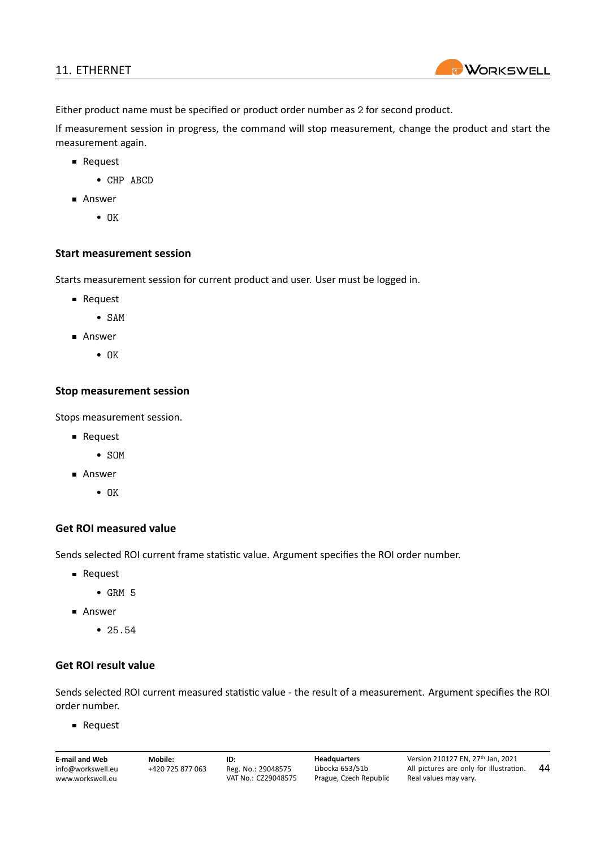#### 11. ETHERNET



Either product name must be specified or product order number as 2 for second product.

If measurement session in progress, the command will stop measurement, change the product and start the measurement again.

- **Request** 
	- CHP ABCD
- **Answer** 
	- OK

#### **Start measurement session**

Starts measurement session for current product and user. User must be logged in.

- **Request** 
	- SAM
- Answer
	- OK

#### **Stop measurement session**

Stops measurement session.

- **Request** 
	- SOM
- Answer
	- OK

#### **Get ROI measured value**

Sends selected ROI current frame statistic value. Argument specifies the ROI order number.

- **Request** 
	- $\bullet$  GRM 5
- **Answer** 
	- 25.54

#### **Get ROI result value**

Sends selected ROI current measured statistic value ‐ the result of a measurement. Argument specifies the ROI order number.

**Request** 

| <b>E-mail and Web</b> | Mobile:          | ID:                 | <b>Headquarters</b>    | Version 210127 EN, 27th Jan, 2021     |
|-----------------------|------------------|---------------------|------------------------|---------------------------------------|
| info@workswell.eu     | +420 725 877 063 | Reg. No.: 29048575  | Libocka 653/51b        | All pictures are only for illustratio |
| www.workswell.eu      |                  | VAT No.: CZ29048575 | Prague, Czech Republic | Real values may vary.                 |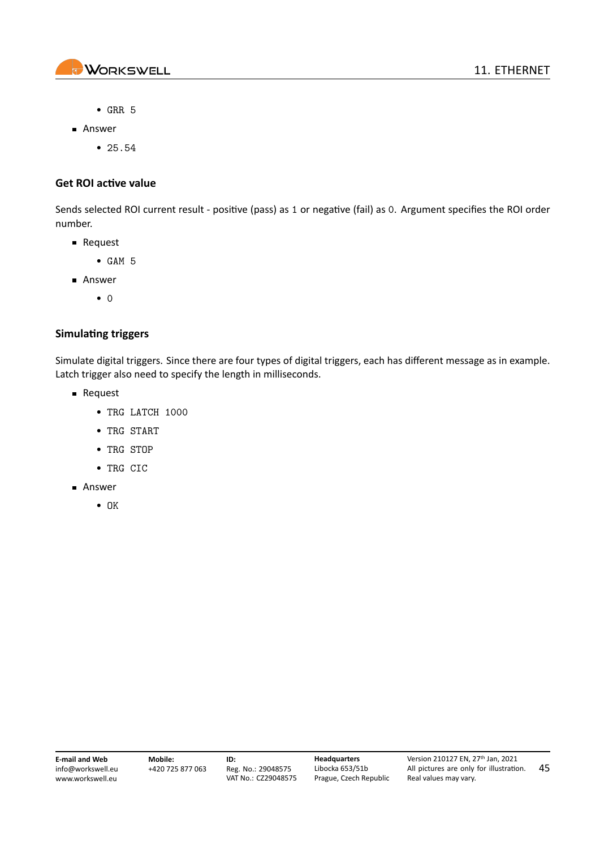

45

- GRR 5
- Answer
	- 25.54

#### **Get ROI active value**

Sends selected ROI current result ‐ positive (pass) as 1 or negative (fail) as 0. Argument specifies the ROI order number.

- **Request** 
	- GAM 5
- Answer
	- 0

#### **Simulating triggers**

Simulate digital triggers. Since there are four types of digital triggers, each has different message as in example. Latch trigger also need to specify the length in milliseconds.

- **Request** 
	- TRG LATCH 1000
	- TRG START
	- TRG STOP
	- TRG CIC
- Answer
	- OK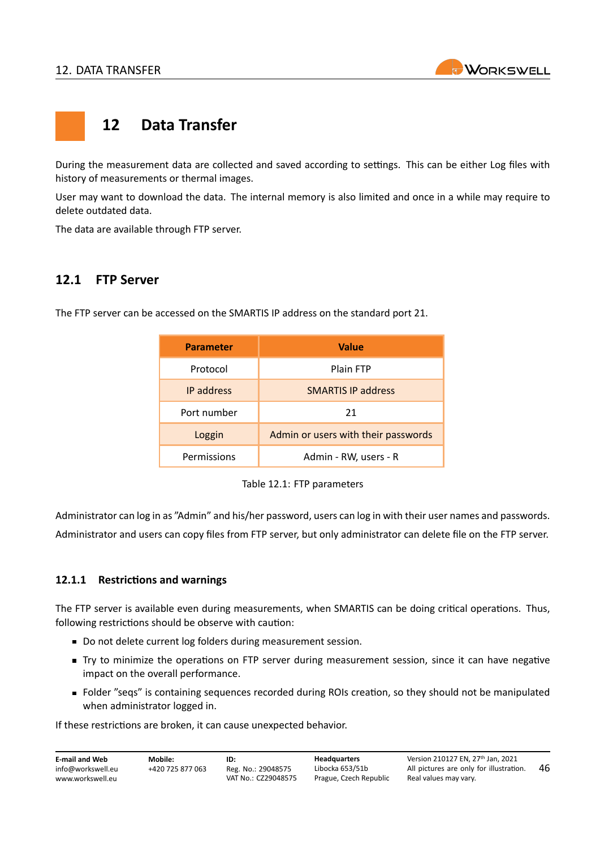

## <span id="page-46-0"></span>**12 Data Transfer**

During the measurement data are collected and saved according to settings. This can be either Log files with history of measurements or thermal images.

User may want to download the data. The internal memory is also limited and once in a while may require to delete outdated data.

The data are available through FTP server.

### <span id="page-46-1"></span>**12.1 FTP Server**

The FTP server can be accessed on the SMARTIS IP address on the standard port 21.

| <b>Parameter</b> | Value                               |  |
|------------------|-------------------------------------|--|
| Protocol         | Plain FTP                           |  |
| IP address       | <b>SMARTIS IP address</b>           |  |
| Port number      | 21                                  |  |
| Loggin           | Admin or users with their passwords |  |
| Permissions      | Admin - RW, users - R               |  |

Table 12.1: FTP parameters

Administrator can log in as "Admin" and his/her password, users can log in with their user names and passwords. Administrator and users can copy files from FTP server, but only administrator can delete file on the FTP server.

#### <span id="page-46-2"></span>**12.1.1 Restrictions and warnings**

The FTP server is available even during measurements, when SMARTIS can be doing critical operations. Thus, following restrictions should be observe with caution:

- Do not delete current log folders during measurement session.
- Try to minimize the operations on FTP server during measurement session, since it can have negative impact on the overall performance.
- Folder "seqs" is containing sequences recorded during ROIs creation, so they should not be manipulated when administrator logged in.

If these restrictions are broken, it can cause unexpected behavior.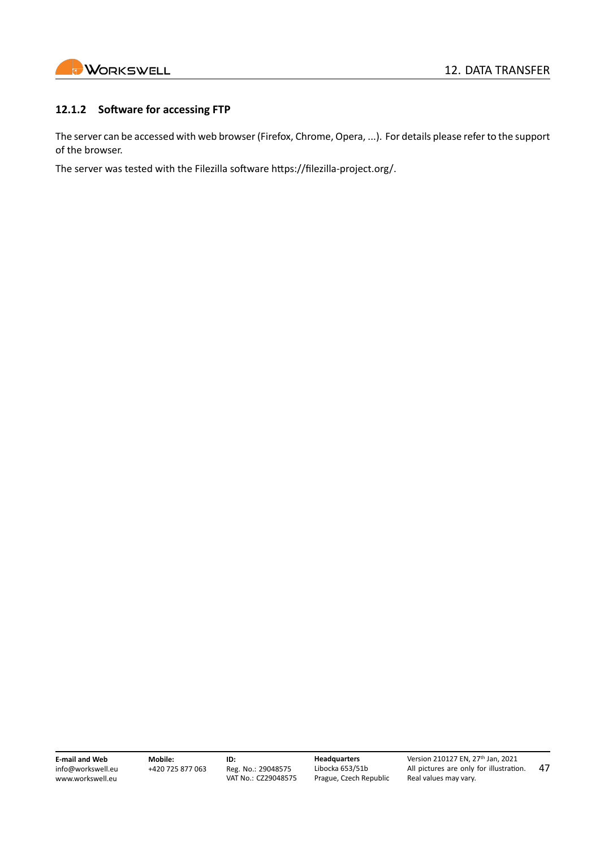

#### <span id="page-47-0"></span>**12.1.2 Software for accessing FTP**

The server can be accessed with web browser (Firefox, Chrome, Opera, ...). For details please refer to the support of the browser.

The server was tested with the Filezilla software https://filezilla-project.org/.

**E‐mail and Web** info@workswell.eu <www.workswell.eu>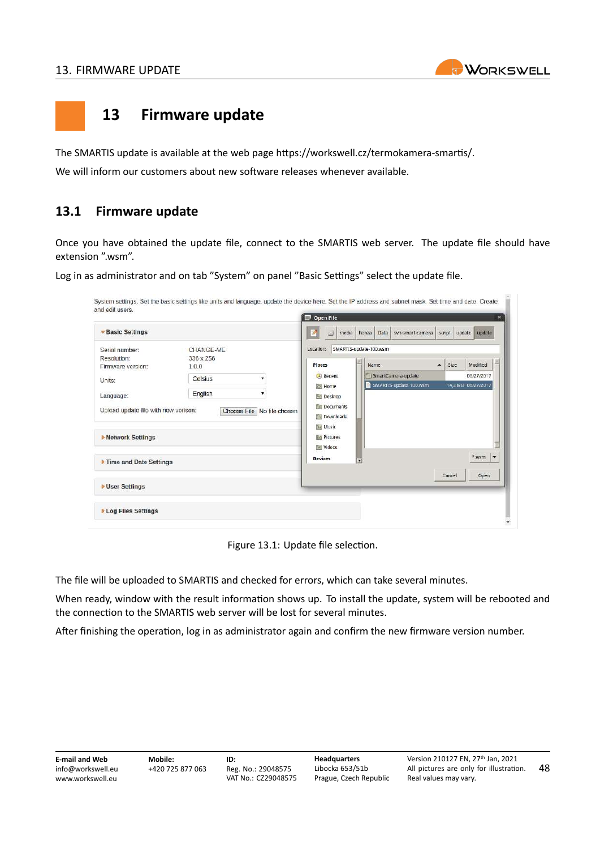

## <span id="page-48-0"></span>**13 Firmware update**

The SMARTIS update is available at the web page [https://workswell.cz/termokamera‐smartis/](https://workswell.cz/termokamera-smartis/).

We will inform our customers about new software releases whenever available.

## <span id="page-48-1"></span>**13.1 Firmware update**

Once you have obtained the update file, connect to the SMARTIS web server. The update file should have extension ".wsm".

Log in as administrator and on tab "System" on panel "Basic Settings" select the update file.

| <b>Basic Settings</b>                |           |                            | a.<br>media<br>Λ | Data<br>syn-smart-camera<br>honza |                  | script<br>update | update                              |
|--------------------------------------|-----------|----------------------------|------------------|-----------------------------------|------------------|------------------|-------------------------------------|
| Serial number:                       | CHANGE-ME |                            | Location:        | SMARTIS-update-100.wsm            |                  |                  |                                     |
| Resolution:                          | 336 x 256 |                            | Places           | Name                              | $\blacktriangle$ | <b>Size</b>      | Modified                            |
| Firmware version:                    | 1.0.0     |                            |                  |                                   |                  |                  | 06/27/2017                          |
| Units:                               | Celsius   | ۰.                         | Recent           | SmartCamera-update                |                  |                  |                                     |
|                                      | English   | ۳.                         | <b>Fall</b> Home | SMARTIS-update-100.wsm            |                  |                  | 14,3 MB 06/27/2017                  |
| Language:                            |           |                            | <b>Desktop</b>   |                                   |                  |                  |                                     |
| Upload update file with new verison: |           | Choose File No file chosen | Documents        |                                   |                  |                  |                                     |
|                                      |           |                            | Downloads        |                                   |                  |                  |                                     |
|                                      |           |                            | <b>TEL Music</b> |                                   |                  |                  |                                     |
| Network Settings                     |           |                            | <b>Pictures</b>  |                                   |                  |                  |                                     |
|                                      |           |                            | <b>In Videos</b> |                                   |                  |                  |                                     |
| Time and Date Settings               |           |                            | <b>Devices</b>   | жf                                |                  |                  | $*$ wsm<br>$\overline{\phantom{a}}$ |
|                                      |           |                            |                  |                                   |                  | Cancel           | Open                                |
|                                      |           |                            |                  |                                   |                  |                  |                                     |
| <b>Vser Settings</b>                 |           |                            |                  |                                   |                  |                  |                                     |

Figure 13.1: Update file selection.

The file will be uploaded to SMARTIS and checked for errors, which can take several minutes.

When ready, window with the result information shows up. To install the update, system will be rebooted and the connection to the SMARTIS web server will be lost for several minutes.

After finishing the operation, log in as administrator again and confirm the new firmware version number.

| <b>E-mail and Web</b> | Mobile:          | ID:                 | Headquarters           | Version 210127 EN, 27 <sup>th</sup> Jan, 2021 | 48 |
|-----------------------|------------------|---------------------|------------------------|-----------------------------------------------|----|
| info@workswell.eu     | +420 725 877 063 | Reg. No.: 29048575  | Libocka 653/51b        | All pictures are only for illustration.       |    |
| www.workswell.eu      |                  | VAT No.: CZ29048575 | Prague, Czech Republic | Real values may vary.                         |    |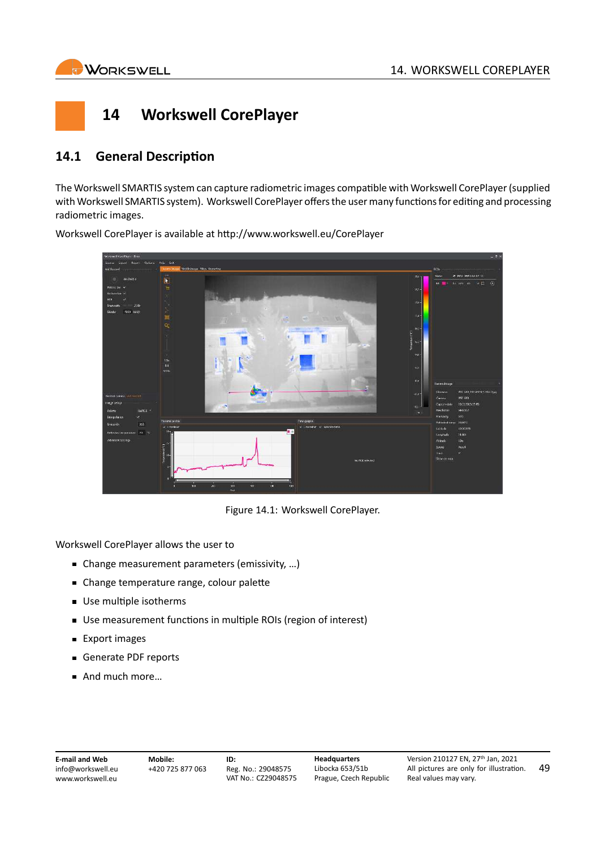<span id="page-49-0"></span>

## **14 Workswell CorePlayer**

## <span id="page-49-1"></span>**14.1 General Description**

The Workswell SMARTIS system can capture radiometric images compatible with Workswell CorePlayer (supplied with Workswell SMARTIS system). Workswell CorePlayer offers the user many functions for editing and processing radiometric images.



Workswell CorePlayer is available at <http://www.workswell.eu/CorePlayer>

Figure 14.1: Workswell CorePlayer.

Workswell CorePlayer allows the user to

- Change measurement parameters (emissivity, …)
- Change temperature range, colour palette
- Use multiple isotherms
- Use measurement functions in multiple ROIs (region of interest)
- **Export images**
- Generate PDF reports
- And much more...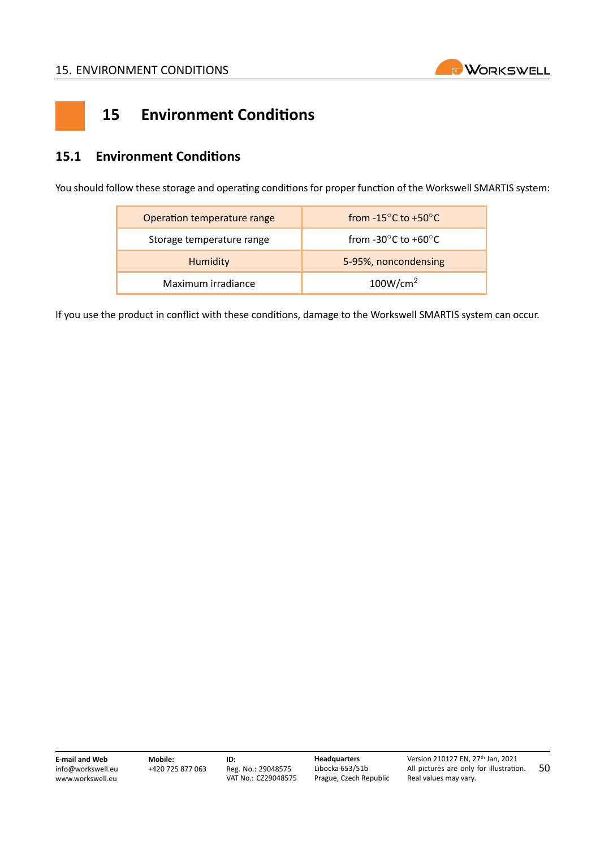

## <span id="page-50-0"></span>**15 Environment Conditions**

## <span id="page-50-1"></span>**15.1 Environment Conditions**

You should follow these storage and operating conditions for proper function of the Workswell SMARTIS system:

| Operation temperature range | from -15 $\degree$ C to +50 $\degree$ C   |  |
|-----------------------------|-------------------------------------------|--|
| Storage temperature range   | from -30 $^{\circ}$ C to +60 $^{\circ}$ C |  |
| Humidity                    | 5-95%, noncondensing                      |  |
| Maximum irradiance          | 100W/cm <sup>2</sup>                      |  |

If you use the product in conflict with these conditions, damage to the Workswell SMARTIS system can occur.

**E‐mail and Web** info@workswell.eu <www.workswell.eu>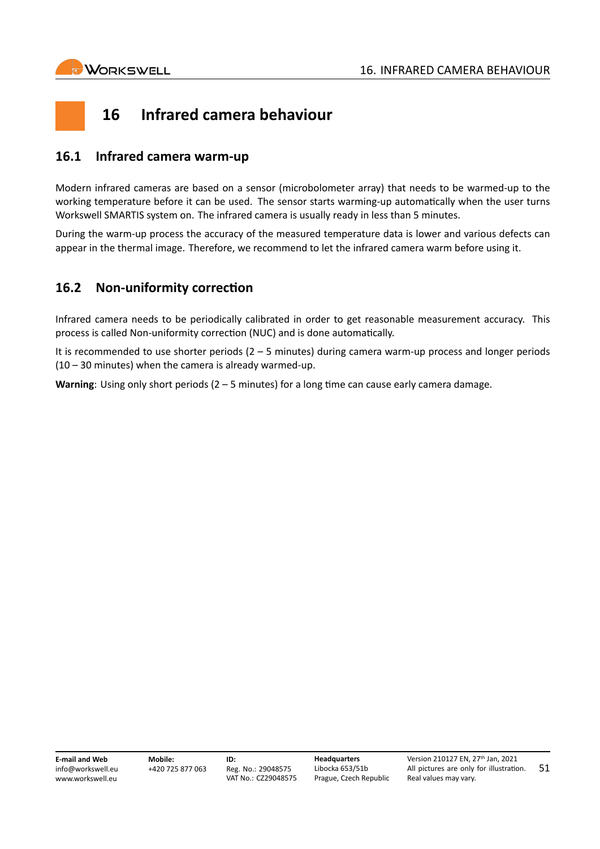

<span id="page-51-0"></span>

## <span id="page-51-1"></span>**16.1 Infrared camera warm‐up**

Modern infrared cameras are based on a sensor (microbolometer array) that needs to be warmed‐up to the working temperature before it can be used. The sensor starts warming-up automatically when the user turns Workswell SMARTIS system on. The infrared camera is usually ready in less than 5 minutes.

During the warm‐up process the accuracy of the measured temperature data is lower and various defects can appear in the thermal image. Therefore, we recommend to let the infrared camera warm before using it.

## <span id="page-51-2"></span>**16.2 Non‐uniformity correction**

Infrared camera needs to be periodically calibrated in order to get reasonable measurement accuracy. This process is called Non‐uniformity correction (NUC) and is done automatically.

It is recommended to use shorter periods (2 – 5 minutes) during camera warm‐up process and longer periods  $(10 - 30$  minutes) when the camera is already warmed-up.

**Warning**: Using only short periods (2 – 5 minutes) for a long time can cause early camera damage.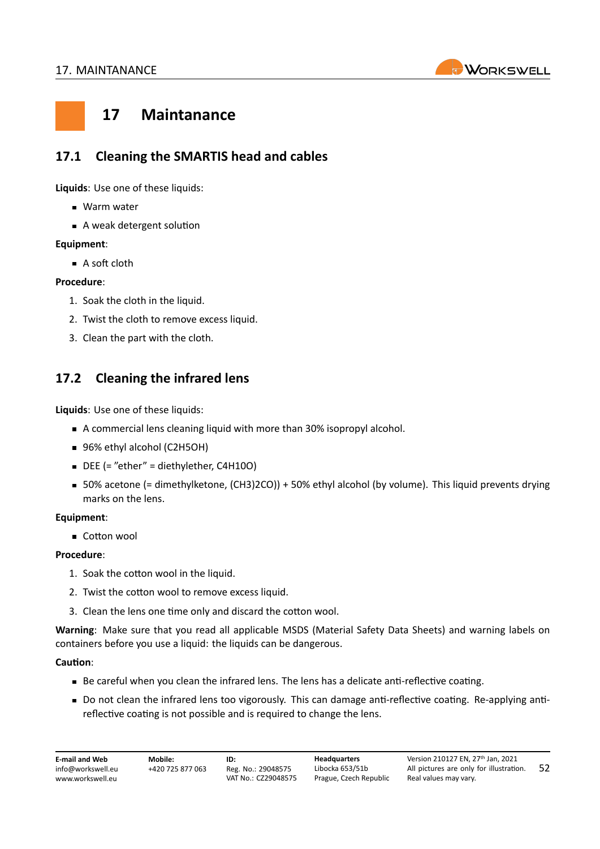

## <span id="page-52-0"></span>**17 Maintanance**

## <span id="page-52-1"></span>**17.1 Cleaning the SMARTIS head and cables**

**Liquids**: Use one of these liquids:

- **Warm water**
- A weak detergent solution

#### **Equipment**:

A soft cloth

#### **Procedure**:

- 1. Soak the cloth in the liquid.
- 2. Twist the cloth to remove excess liquid.
- 3. Clean the part with the cloth.

## <span id="page-52-2"></span>**17.2 Cleaning the infrared lens**

**Liquids**: Use one of these liquids:

- A commercial lens cleaning liquid with more than 30% isopropyl alcohol.
- 96% ethyl alcohol (C2H5OH)
- DEE (= "ether" = diethylether, C4H10O)
- 50% acetone (= dimethylketone, (CH3)2CO)) + 50% ethyl alcohol (by volume). This liquid prevents drying marks on the lens.

#### **Equipment**:

Cotton wool

#### **Procedure**:

- 1. Soak the cotton wool in the liquid.
- 2. Twist the cotton wool to remove excess liquid.
- 3. Clean the lens one time only and discard the cotton wool.

**Warning**: Make sure that you read all applicable MSDS (Material Safety Data Sheets) and warning labels on containers before you use a liquid: the liquids can be dangerous.

#### **Caution**:

- Be careful when you clean the infrared lens. The lens has a delicate anti-reflective coating.
- Do not clean the infrared lens too vigorously. This can damage anti-reflective coating. Re-applying antireflective coating is not possible and is required to change the lens.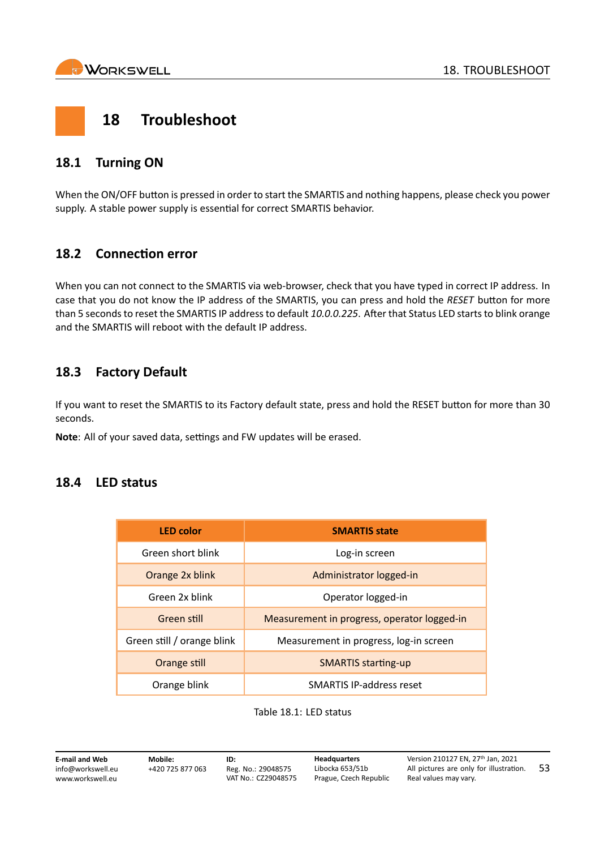

<span id="page-53-0"></span>

## <span id="page-53-1"></span>**18.1 Turning ON**

When the ON/OFF button is pressed in order to start the SMARTIS and nothing happens, please check you power supply. A stable power supply is essential for correct SMARTIS behavior.

## <span id="page-53-2"></span>**18.2 Connection error**

When you can not connect to the SMARTIS via web-browser, check that you have typed in correct IP address. In case that you do not know the IP address of the SMARTIS, you can press and hold the *RESET* button for more than 5 seconds to reset the SMARTIS IP address to default *10.0.0.225*. After that Status LED starts to blink orange and the SMARTIS will reboot with the default IP address.

## <span id="page-53-3"></span>**18.3 Factory Default**

If you want to reset the SMARTIS to its Factory default state, press and hold the RESET button for more than 30 seconds.

**Note**: All of your saved data, settings and FW updates will be erased.

### <span id="page-53-4"></span>**18.4 LED status**

| <b>LED color</b>           | <b>SMARTIS state</b>                        |
|----------------------------|---------------------------------------------|
| Green short blink          | Log-in screen                               |
| Orange 2x blink            | Administrator logged-in                     |
| Green 2x blink             | Operator logged-in                          |
| Green still                | Measurement in progress, operator logged-in |
| Green still / orange blink | Measurement in progress, log-in screen      |
| Orange still               | <b>SMARTIS starting-up</b>                  |
| Orange blink               | <b>SMARTIS IP-address reset</b>             |

#### Table 18.1: LED status

**E‐mail and Web** info@workswell.eu <www.workswell.eu>

**Mobile:** +420 725 877 063 **ID:** Reg. No.: 29048575 VAT No.: CZ29048575 **Headquarters** Libocka 653/51b Prague, Czech Republic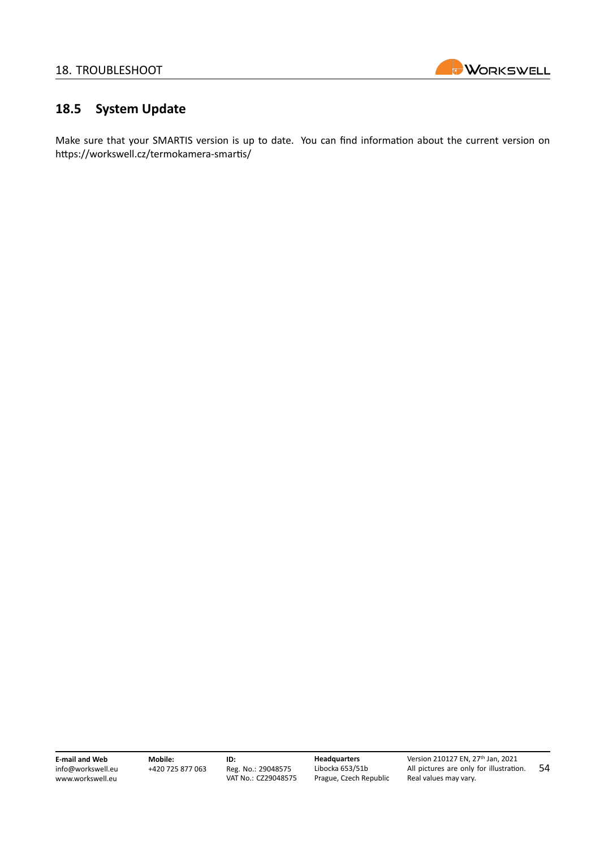

## <span id="page-54-0"></span>**18.5 System Update**

Make sure that your SMARTIS version is up to date. You can find information about the current version on [https://workswell.cz/termokamera‐smartis/](https://workswell.cz/termokamera-smartis/)

**E‐mail and Web** info@workswell.eu <www.workswell.eu>